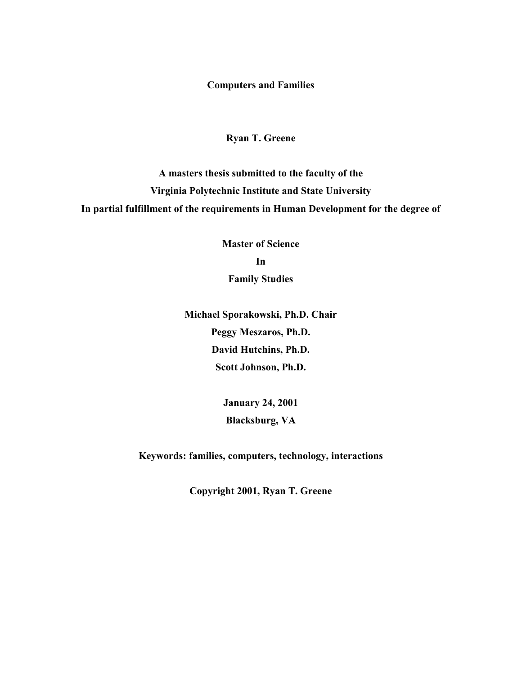**Computers and Families** 

# **Ryan T. Greene**

**A masters thesis submitted to the faculty of the Virginia Polytechnic Institute and State University In partial fulfillment of the requirements in Human Development for the degree of** 

> **Master of Science In Family Studies**

**Michael Sporakowski, Ph.D. Chair Peggy Meszaros, Ph.D. David Hutchins, Ph.D. Scott Johnson, Ph.D.** 

> **January 24, 2001 Blacksburg, VA**

**Keywords: families, computers, technology, interactions** 

**Copyright 2001, Ryan T. Greene**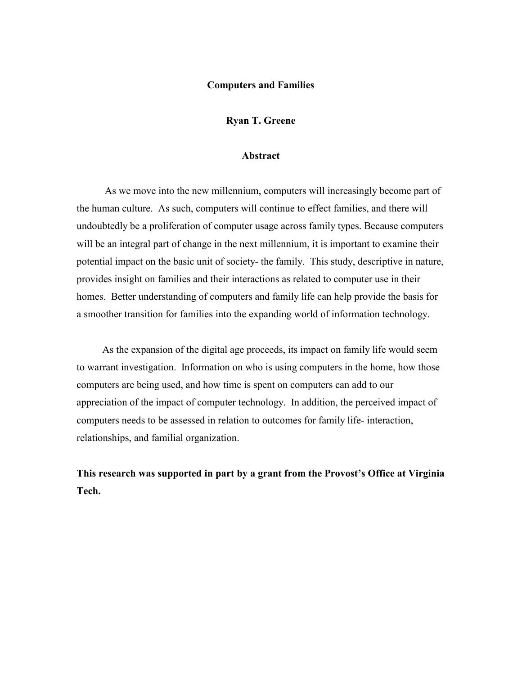#### **Computers and Families**

**Ryan T. Greene** 

#### **Abstract**

 As we move into the new millennium, computers will increasingly become part of the human culture. As such, computers will continue to effect families, and there will undoubtedly be a proliferation of computer usage across family types. Because computers will be an integral part of change in the next millennium, it is important to examine their potential impact on the basic unit of society- the family. This study, descriptive in nature, provides insight on families and their interactions as related to computer use in their homes. Better understanding of computers and family life can help provide the basis for a smoother transition for families into the expanding world of information technology.

 As the expansion of the digital age proceeds, its impact on family life would seem to warrant investigation. Information on who is using computers in the home, how those computers are being used, and how time is spent on computers can add to our appreciation of the impact of computer technology. In addition, the perceived impact of computers needs to be assessed in relation to outcomes for family life- interaction, relationships, and familial organization.

**This research was supported in part by a grant from the Provost's Office at Virginia Tech.**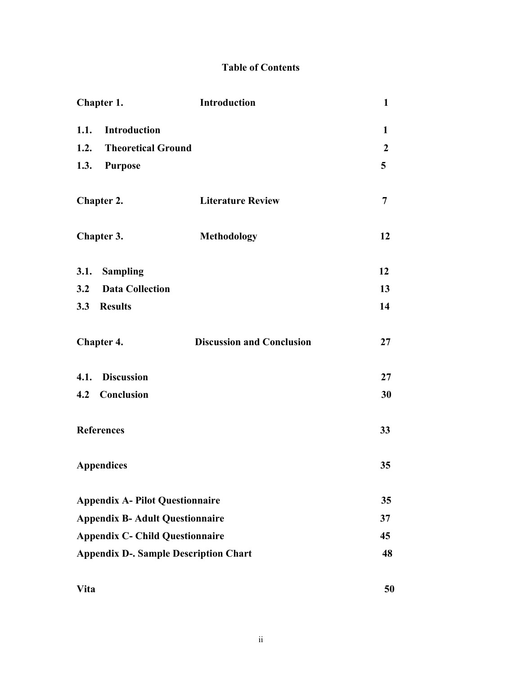# **Table of Contents**

| Chapter 1.                                   | Introduction                     | $\mathbf{1}$     |
|----------------------------------------------|----------------------------------|------------------|
| 1.1. Introduction                            |                                  | 1                |
| <b>Theoretical Ground</b><br>1.2.            |                                  | $\boldsymbol{2}$ |
| 1.3.<br><b>Purpose</b>                       |                                  | 5                |
| Chapter 2.                                   | <b>Literature Review</b>         | 7                |
| Chapter 3.                                   | <b>Methodology</b>               | 12               |
| 3.1. Sampling                                |                                  | 12               |
| 3.2<br><b>Data Collection</b>                |                                  | 13               |
| 3.3 Results                                  |                                  | 14               |
| Chapter 4.                                   | <b>Discussion and Conclusion</b> | 27               |
| 4.1. Discussion                              |                                  | 27               |
| Conclusion<br>4.2                            |                                  | 30               |
| <b>References</b>                            |                                  | 33               |
| <b>Appendices</b>                            |                                  | 35               |
| <b>Appendix A- Pilot Questionnaire</b>       |                                  | 35               |
| <b>Appendix B- Adult Questionnaire</b>       |                                  | 37               |
| <b>Appendix C- Child Questionnaire</b>       |                                  | 45               |
| <b>Appendix D-. Sample Description Chart</b> |                                  | 48               |
| <b>Vita</b>                                  |                                  | 50               |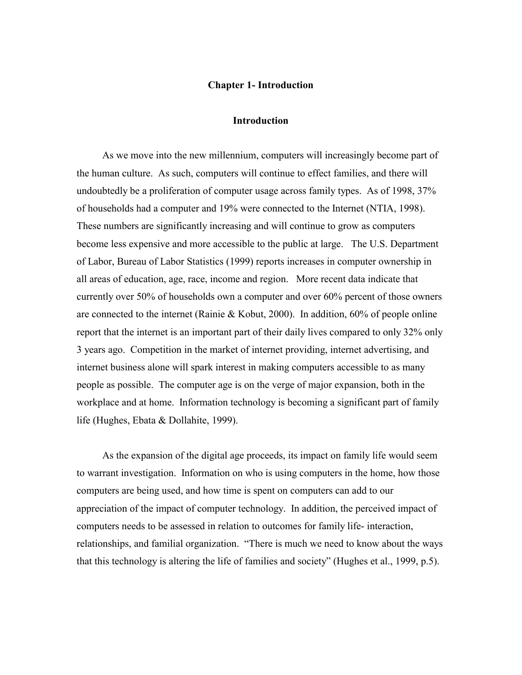#### **Chapter 1- Introduction**

#### **Introduction**

 As we move into the new millennium, computers will increasingly become part of the human culture. As such, computers will continue to effect families, and there will undoubtedly be a proliferation of computer usage across family types. As of 1998, 37% of households had a computer and 19% were connected to the Internet (NTIA, 1998). These numbers are significantly increasing and will continue to grow as computers become less expensive and more accessible to the public at large. The U.S. Department of Labor, Bureau of Labor Statistics (1999) reports increases in computer ownership in all areas of education, age, race, income and region. More recent data indicate that currently over 50% of households own a computer and over 60% percent of those owners are connected to the internet (Rainie & Kobut, 2000). In addition, 60% of people online report that the internet is an important part of their daily lives compared to only 32% only 3 years ago. Competition in the market of internet providing, internet advertising, and internet business alone will spark interest in making computers accessible to as many people as possible. The computer age is on the verge of major expansion, both in the workplace and at home. Information technology is becoming a significant part of family life (Hughes, Ebata & Dollahite, 1999).

 As the expansion of the digital age proceeds, its impact on family life would seem to warrant investigation. Information on who is using computers in the home, how those computers are being used, and how time is spent on computers can add to our appreciation of the impact of computer technology. In addition, the perceived impact of computers needs to be assessed in relation to outcomes for family life- interaction, relationships, and familial organization. "There is much we need to know about the ways that this technology is altering the life of families and society" (Hughes et al., 1999, p.5).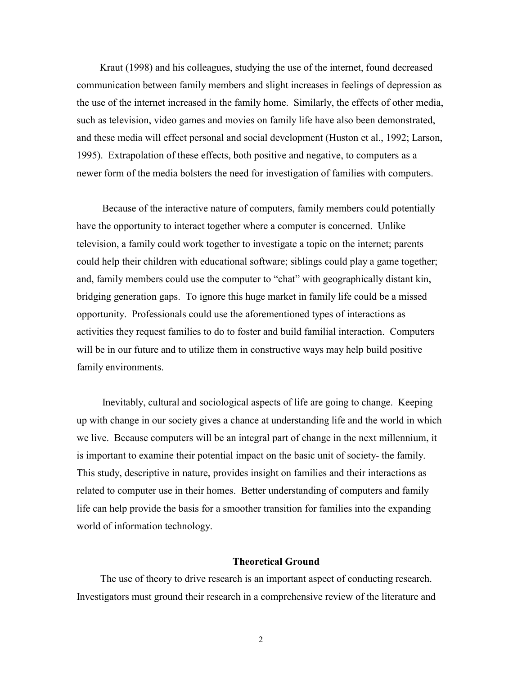Kraut (1998) and his colleagues, studying the use of the internet, found decreased communication between family members and slight increases in feelings of depression as the use of the internet increased in the family home. Similarly, the effects of other media, such as television, video games and movies on family life have also been demonstrated, and these media will effect personal and social development (Huston et al., 1992; Larson, 1995). Extrapolation of these effects, both positive and negative, to computers as a newer form of the media bolsters the need for investigation of families with computers.

 Because of the interactive nature of computers, family members could potentially have the opportunity to interact together where a computer is concerned. Unlike television, a family could work together to investigate a topic on the internet; parents could help their children with educational software; siblings could play a game together; and, family members could use the computer to "chat" with geographically distant kin, bridging generation gaps. To ignore this huge market in family life could be a missed opportunity. Professionals could use the aforementioned types of interactions as activities they request families to do to foster and build familial interaction. Computers will be in our future and to utilize them in constructive ways may help build positive family environments.

 Inevitably, cultural and sociological aspects of life are going to change. Keeping up with change in our society gives a chance at understanding life and the world in which we live. Because computers will be an integral part of change in the next millennium, it is important to examine their potential impact on the basic unit of society- the family. This study, descriptive in nature, provides insight on families and their interactions as related to computer use in their homes. Better understanding of computers and family life can help provide the basis for a smoother transition for families into the expanding world of information technology.

#### **Theoretical Ground**

 The use of theory to drive research is an important aspect of conducting research. Investigators must ground their research in a comprehensive review of the literature and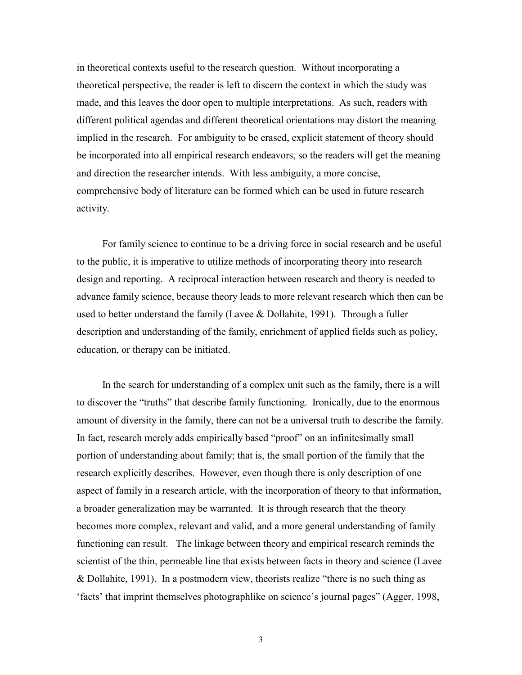in theoretical contexts useful to the research question. Without incorporating a theoretical perspective, the reader is left to discern the context in which the study was made, and this leaves the door open to multiple interpretations. As such, readers with different political agendas and different theoretical orientations may distort the meaning implied in the research. For ambiguity to be erased, explicit statement of theory should be incorporated into all empirical research endeavors, so the readers will get the meaning and direction the researcher intends. With less ambiguity, a more concise, comprehensive body of literature can be formed which can be used in future research activity.

 For family science to continue to be a driving force in social research and be useful to the public, it is imperative to utilize methods of incorporating theory into research design and reporting. A reciprocal interaction between research and theory is needed to advance family science, because theory leads to more relevant research which then can be used to better understand the family (Lavee & Dollahite, 1991). Through a fuller description and understanding of the family, enrichment of applied fields such as policy, education, or therapy can be initiated.

 In the search for understanding of a complex unit such as the family, there is a will to discover the "truths" that describe family functioning. Ironically, due to the enormous amount of diversity in the family, there can not be a universal truth to describe the family. In fact, research merely adds empirically based "proof" on an infinitesimally small portion of understanding about family; that is, the small portion of the family that the research explicitly describes. However, even though there is only description of one aspect of family in a research article, with the incorporation of theory to that information, a broader generalization may be warranted. It is through research that the theory becomes more complex, relevant and valid, and a more general understanding of family functioning can result. The linkage between theory and empirical research reminds the scientist of the thin, permeable line that exists between facts in theory and science (Lavee & Dollahite, 1991). In a postmodern view, theorists realize "there is no such thing as 'facts' that imprint themselves photographlike on science's journal pages" (Agger, 1998,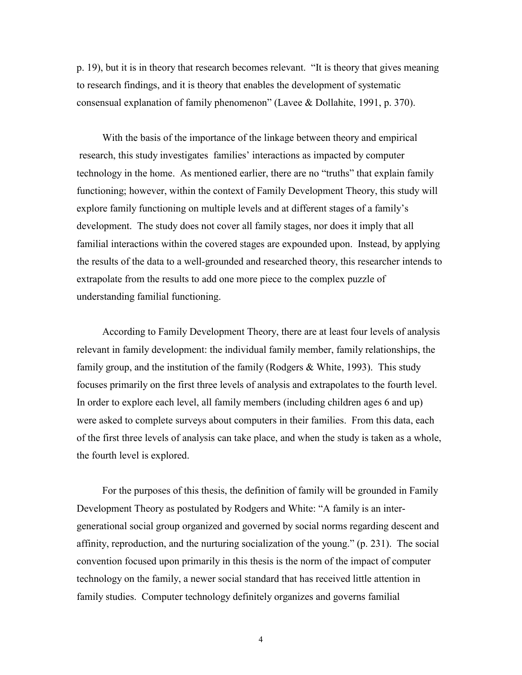p. 19), but it is in theory that research becomes relevant. "It is theory that gives meaning to research findings, and it is theory that enables the development of systematic consensual explanation of family phenomenon" (Lavee & Dollahite, 1991, p. 370).

 With the basis of the importance of the linkage between theory and empirical research, this study investigates families' interactions as impacted by computer technology in the home. As mentioned earlier, there are no "truths" that explain family functioning; however, within the context of Family Development Theory, this study will explore family functioning on multiple levels and at different stages of a family's development. The study does not cover all family stages, nor does it imply that all familial interactions within the covered stages are expounded upon. Instead, by applying the results of the data to a well-grounded and researched theory, this researcher intends to extrapolate from the results to add one more piece to the complex puzzle of understanding familial functioning.

 According to Family Development Theory, there are at least four levels of analysis relevant in family development: the individual family member, family relationships, the family group, and the institution of the family (Rodgers  $\&$  White, 1993). This study focuses primarily on the first three levels of analysis and extrapolates to the fourth level. In order to explore each level, all family members (including children ages 6 and up) were asked to complete surveys about computers in their families. From this data, each of the first three levels of analysis can take place, and when the study is taken as a whole, the fourth level is explored.

 For the purposes of this thesis, the definition of family will be grounded in Family Development Theory as postulated by Rodgers and White: "A family is an intergenerational social group organized and governed by social norms regarding descent and affinity, reproduction, and the nurturing socialization of the young." (p. 231). The social convention focused upon primarily in this thesis is the norm of the impact of computer technology on the family, a newer social standard that has received little attention in family studies. Computer technology definitely organizes and governs familial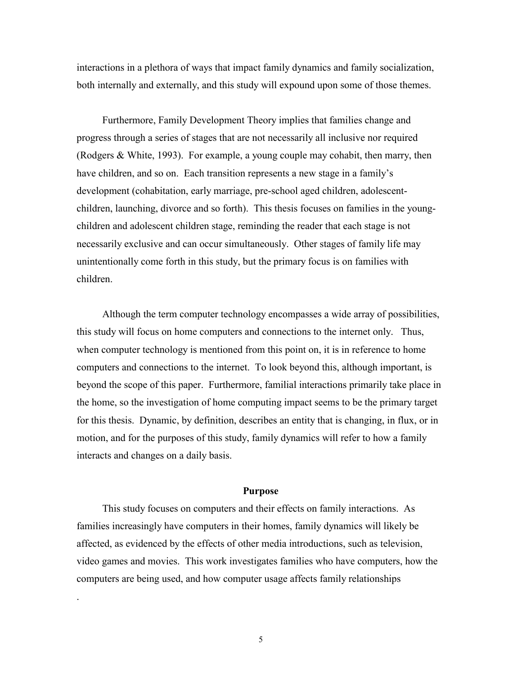interactions in a plethora of ways that impact family dynamics and family socialization, both internally and externally, and this study will expound upon some of those themes.

 Furthermore, Family Development Theory implies that families change and progress through a series of stages that are not necessarily all inclusive nor required (Rodgers & White, 1993). For example, a young couple may cohabit, then marry, then have children, and so on. Each transition represents a new stage in a family's development (cohabitation, early marriage, pre-school aged children, adolescentchildren, launching, divorce and so forth). This thesis focuses on families in the youngchildren and adolescent children stage, reminding the reader that each stage is not necessarily exclusive and can occur simultaneously. Other stages of family life may unintentionally come forth in this study, but the primary focus is on families with children.

 Although the term computer technology encompasses a wide array of possibilities, this study will focus on home computers and connections to the internet only. Thus, when computer technology is mentioned from this point on, it is in reference to home computers and connections to the internet. To look beyond this, although important, is beyond the scope of this paper. Furthermore, familial interactions primarily take place in the home, so the investigation of home computing impact seems to be the primary target for this thesis. Dynamic, by definition, describes an entity that is changing, in flux, or in motion, and for the purposes of this study, family dynamics will refer to how a family interacts and changes on a daily basis.

#### **Purpose**

This study focuses on computers and their effects on family interactions. As families increasingly have computers in their homes, family dynamics will likely be affected, as evidenced by the effects of other media introductions, such as television, video games and movies. This work investigates families who have computers, how the computers are being used, and how computer usage affects family relationships

.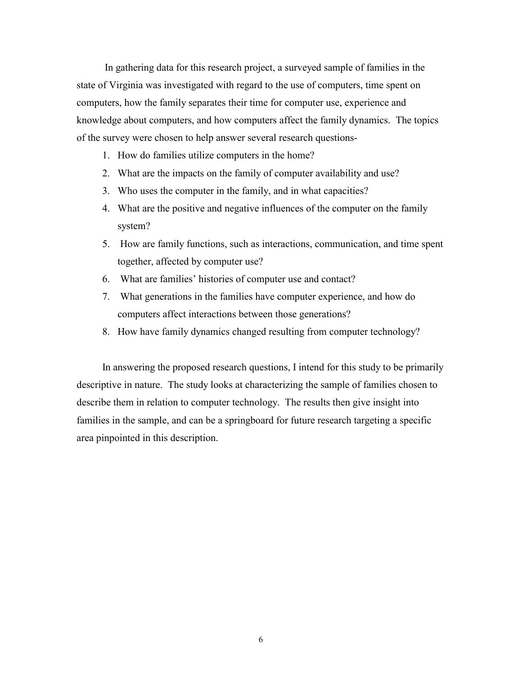In gathering data for this research project, a surveyed sample of families in the state of Virginia was investigated with regard to the use of computers, time spent on computers, how the family separates their time for computer use, experience and knowledge about computers, and how computers affect the family dynamics. The topics of the survey were chosen to help answer several research questions-

- 1. How do families utilize computers in the home?
- 2. What are the impacts on the family of computer availability and use?
- 3. Who uses the computer in the family, and in what capacities?
- 4. What are the positive and negative influences of the computer on the family system?
- 5. How are family functions, such as interactions, communication, and time spent together, affected by computer use?
- 6. What are families' histories of computer use and contact?
- 7. What generations in the families have computer experience, and how do computers affect interactions between those generations?
- 8. How have family dynamics changed resulting from computer technology?

 In answering the proposed research questions, I intend for this study to be primarily descriptive in nature. The study looks at characterizing the sample of families chosen to describe them in relation to computer technology. The results then give insight into families in the sample, and can be a springboard for future research targeting a specific area pinpointed in this description.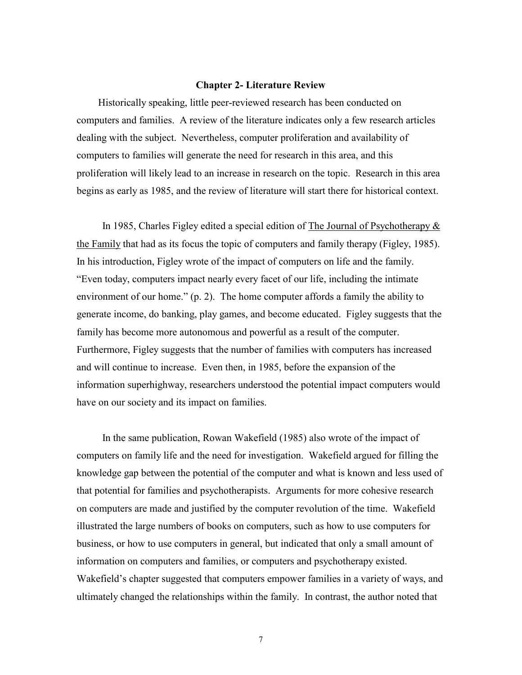#### **Chapter 2- Literature Review**

 Historically speaking, little peer-reviewed research has been conducted on computers and families. A review of the literature indicates only a few research articles dealing with the subject. Nevertheless, computer proliferation and availability of computers to families will generate the need for research in this area, and this proliferation will likely lead to an increase in research on the topic. Research in this area begins as early as 1985, and the review of literature will start there for historical context.

In 1985, Charles Figley edited a special edition of The Journal of Psychotherapy  $\&$ the Family that had as its focus the topic of computers and family therapy (Figley, 1985). In his introduction, Figley wrote of the impact of computers on life and the family. "Even today, computers impact nearly every facet of our life, including the intimate environment of our home." (p. 2). The home computer affords a family the ability to generate income, do banking, play games, and become educated. Figley suggests that the family has become more autonomous and powerful as a result of the computer. Furthermore, Figley suggests that the number of families with computers has increased and will continue to increase. Even then, in 1985, before the expansion of the information superhighway, researchers understood the potential impact computers would have on our society and its impact on families.

 In the same publication, Rowan Wakefield (1985) also wrote of the impact of computers on family life and the need for investigation. Wakefield argued for filling the knowledge gap between the potential of the computer and what is known and less used of that potential for families and psychotherapists. Arguments for more cohesive research on computers are made and justified by the computer revolution of the time. Wakefield illustrated the large numbers of books on computers, such as how to use computers for business, or how to use computers in general, but indicated that only a small amount of information on computers and families, or computers and psychotherapy existed. Wakefield's chapter suggested that computers empower families in a variety of ways, and ultimately changed the relationships within the family. In contrast, the author noted that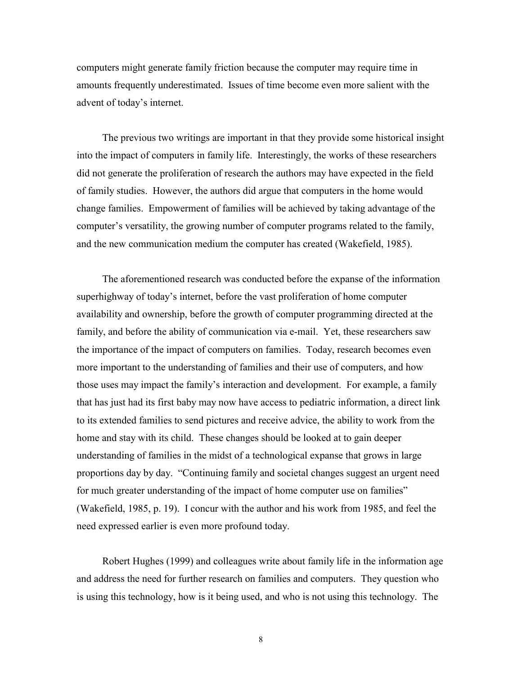computers might generate family friction because the computer may require time in amounts frequently underestimated. Issues of time become even more salient with the advent of today's internet.

 The previous two writings are important in that they provide some historical insight into the impact of computers in family life. Interestingly, the works of these researchers did not generate the proliferation of research the authors may have expected in the field of family studies. However, the authors did argue that computers in the home would change families. Empowerment of families will be achieved by taking advantage of the computer's versatility, the growing number of computer programs related to the family, and the new communication medium the computer has created (Wakefield, 1985).

 The aforementioned research was conducted before the expanse of the information superhighway of today's internet, before the vast proliferation of home computer availability and ownership, before the growth of computer programming directed at the family, and before the ability of communication via e-mail. Yet, these researchers saw the importance of the impact of computers on families. Today, research becomes even more important to the understanding of families and their use of computers, and how those uses may impact the family's interaction and development. For example, a family that has just had its first baby may now have access to pediatric information, a direct link to its extended families to send pictures and receive advice, the ability to work from the home and stay with its child. These changes should be looked at to gain deeper understanding of families in the midst of a technological expanse that grows in large proportions day by day. "Continuing family and societal changes suggest an urgent need for much greater understanding of the impact of home computer use on families" (Wakefield, 1985, p. 19). I concur with the author and his work from 1985, and feel the need expressed earlier is even more profound today.

 Robert Hughes (1999) and colleagues write about family life in the information age and address the need for further research on families and computers. They question who is using this technology, how is it being used, and who is not using this technology. The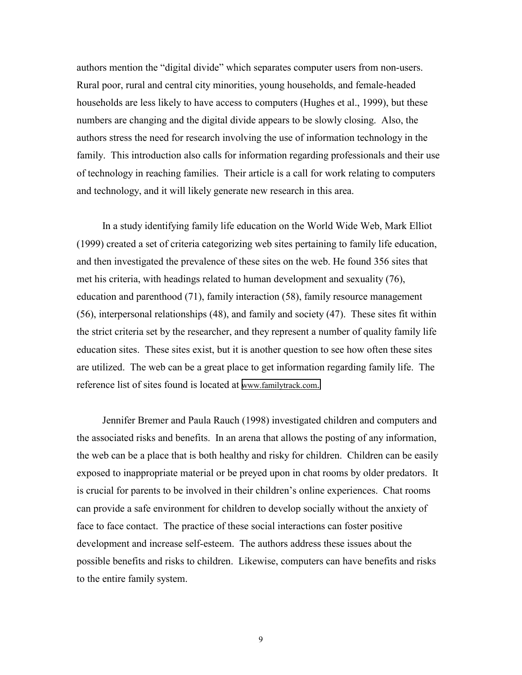authors mention the "digital divide" which separates computer users from non-users. Rural poor, rural and central city minorities, young households, and female-headed households are less likely to have access to computers (Hughes et al., 1999), but these numbers are changing and the digital divide appears to be slowly closing. Also, the authors stress the need for research involving the use of information technology in the family. This introduction also calls for information regarding professionals and their use of technology in reaching families. Their article is a call for work relating to computers and technology, and it will likely generate new research in this area.

 In a study identifying family life education on the World Wide Web, Mark Elliot (1999) created a set of criteria categorizing web sites pertaining to family life education, and then investigated the prevalence of these sites on the web. He found 356 sites that met his criteria, with headings related to human development and sexuality (76), education and parenthood (71), family interaction (58), family resource management (56), interpersonal relationships (48), and family and society (47). These sites fit within the strict criteria set by the researcher, and they represent a number of quality family life education sites. These sites exist, but it is another question to see how often these sites are utilized. The web can be a great place to get information regarding family life. The reference list of sites found is located at [www.familytrack.com.](http://www.familytrack.com/) 

 Jennifer Bremer and Paula Rauch (1998) investigated children and computers and the associated risks and benefits. In an arena that allows the posting of any information, the web can be a place that is both healthy and risky for children. Children can be easily exposed to inappropriate material or be preyed upon in chat rooms by older predators. It is crucial for parents to be involved in their children's online experiences. Chat rooms can provide a safe environment for children to develop socially without the anxiety of face to face contact. The practice of these social interactions can foster positive development and increase self-esteem. The authors address these issues about the possible benefits and risks to children. Likewise, computers can have benefits and risks to the entire family system.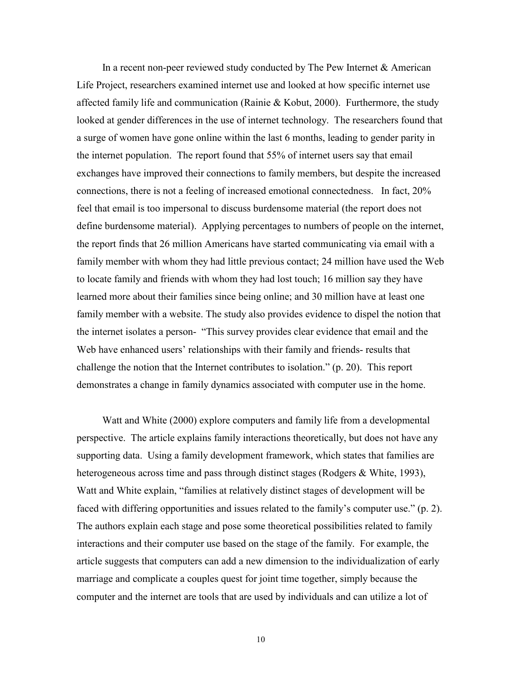In a recent non-peer reviewed study conducted by The Pew Internet  $\&$  American Life Project, researchers examined internet use and looked at how specific internet use affected family life and communication (Rainie & Kobut, 2000). Furthermore, the study looked at gender differences in the use of internet technology. The researchers found that a surge of women have gone online within the last 6 months, leading to gender parity in the internet population. The report found that 55% of internet users say that email exchanges have improved their connections to family members, but despite the increased connections, there is not a feeling of increased emotional connectedness. In fact, 20% feel that email is too impersonal to discuss burdensome material (the report does not define burdensome material). Applying percentages to numbers of people on the internet, the report finds that 26 million Americans have started communicating via email with a family member with whom they had little previous contact; 24 million have used the Web to locate family and friends with whom they had lost touch; 16 million say they have learned more about their families since being online; and 30 million have at least one family member with a website. The study also provides evidence to dispel the notion that the internet isolates a person- "This survey provides clear evidence that email and the Web have enhanced users' relationships with their family and friends- results that challenge the notion that the Internet contributes to isolation." (p. 20). This report demonstrates a change in family dynamics associated with computer use in the home.

 Watt and White (2000) explore computers and family life from a developmental perspective. The article explains family interactions theoretically, but does not have any supporting data. Using a family development framework, which states that families are heterogeneous across time and pass through distinct stages (Rodgers & White, 1993), Watt and White explain, "families at relatively distinct stages of development will be faced with differing opportunities and issues related to the family's computer use." (p. 2). The authors explain each stage and pose some theoretical possibilities related to family interactions and their computer use based on the stage of the family. For example, the article suggests that computers can add a new dimension to the individualization of early marriage and complicate a couples quest for joint time together, simply because the computer and the internet are tools that are used by individuals and can utilize a lot of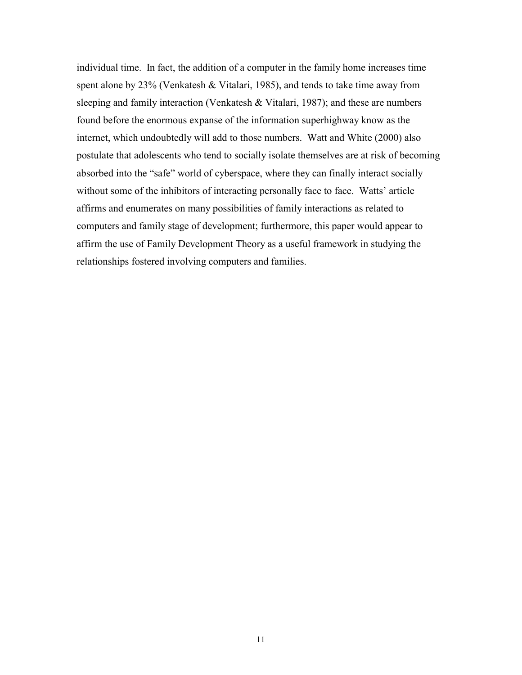individual time. In fact, the addition of a computer in the family home increases time spent alone by 23% (Venkatesh & Vitalari, 1985), and tends to take time away from sleeping and family interaction (Venkatesh & Vitalari, 1987); and these are numbers found before the enormous expanse of the information superhighway know as the internet, which undoubtedly will add to those numbers. Watt and White (2000) also postulate that adolescents who tend to socially isolate themselves are at risk of becoming absorbed into the "safe" world of cyberspace, where they can finally interact socially without some of the inhibitors of interacting personally face to face. Watts' article affirms and enumerates on many possibilities of family interactions as related to computers and family stage of development; furthermore, this paper would appear to affirm the use of Family Development Theory as a useful framework in studying the relationships fostered involving computers and families.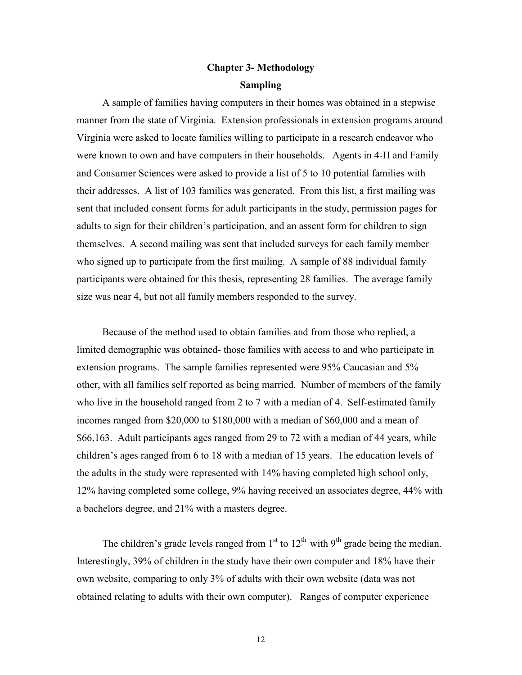# **Chapter 3- Methodology Sampling**

 A sample of families having computers in their homes was obtained in a stepwise manner from the state of Virginia. Extension professionals in extension programs around Virginia were asked to locate families willing to participate in a research endeavor who were known to own and have computers in their households. Agents in 4-H and Family and Consumer Sciences were asked to provide a list of 5 to 10 potential families with their addresses. A list of 103 families was generated. From this list, a first mailing was sent that included consent forms for adult participants in the study, permission pages for adults to sign for their children's participation, and an assent form for children to sign themselves. A second mailing was sent that included surveys for each family member who signed up to participate from the first mailing. A sample of 88 individual family participants were obtained for this thesis, representing 28 families. The average family size was near 4, but not all family members responded to the survey.

 Because of the method used to obtain families and from those who replied, a limited demographic was obtained- those families with access to and who participate in extension programs. The sample families represented were 95% Caucasian and 5% other, with all families self reported as being married. Number of members of the family who live in the household ranged from 2 to 7 with a median of 4. Self-estimated family incomes ranged from \$20,000 to \$180,000 with a median of \$60,000 and a mean of \$66,163. Adult participants ages ranged from 29 to 72 with a median of 44 years, while children's ages ranged from 6 to 18 with a median of 15 years. The education levels of the adults in the study were represented with 14% having completed high school only, 12% having completed some college, 9% having received an associates degree, 44% with a bachelors degree, and 21% with a masters degree.

The children's grade levels ranged from  $1<sup>st</sup>$  to  $12<sup>th</sup>$  with  $9<sup>th</sup>$  grade being the median. Interestingly, 39% of children in the study have their own computer and 18% have their own website, comparing to only 3% of adults with their own website (data was not obtained relating to adults with their own computer). Ranges of computer experience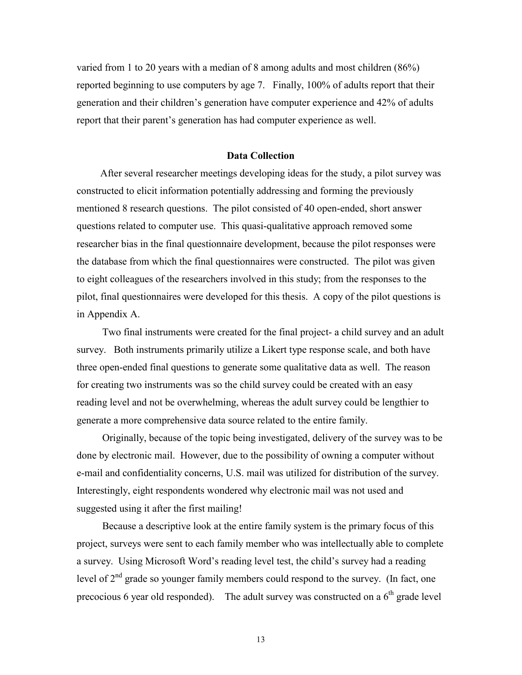varied from 1 to 20 years with a median of 8 among adults and most children (86%) reported beginning to use computers by age 7. Finally, 100% of adults report that their generation and their children's generation have computer experience and 42% of adults report that their parent's generation has had computer experience as well.

#### **Data Collection**

 After several researcher meetings developing ideas for the study, a pilot survey was constructed to elicit information potentially addressing and forming the previously mentioned 8 research questions. The pilot consisted of 40 open-ended, short answer questions related to computer use. This quasi-qualitative approach removed some researcher bias in the final questionnaire development, because the pilot responses were the database from which the final questionnaires were constructed. The pilot was given to eight colleagues of the researchers involved in this study; from the responses to the pilot, final questionnaires were developed for this thesis. A copy of the pilot questions is in Appendix A.

 Two final instruments were created for the final project- a child survey and an adult survey. Both instruments primarily utilize a Likert type response scale, and both have three open-ended final questions to generate some qualitative data as well. The reason for creating two instruments was so the child survey could be created with an easy reading level and not be overwhelming, whereas the adult survey could be lengthier to generate a more comprehensive data source related to the entire family.

 Originally, because of the topic being investigated, delivery of the survey was to be done by electronic mail. However, due to the possibility of owning a computer without e-mail and confidentiality concerns, U.S. mail was utilized for distribution of the survey. Interestingly, eight respondents wondered why electronic mail was not used and suggested using it after the first mailing!

 Because a descriptive look at the entire family system is the primary focus of this project, surveys were sent to each family member who was intellectually able to complete a survey. Using Microsoft Word's reading level test, the child's survey had a reading level of  $2<sup>nd</sup>$  grade so younger family members could respond to the survey. (In fact, one precocious 6 year old responded). The adult survey was constructed on a  $6<sup>th</sup>$  grade level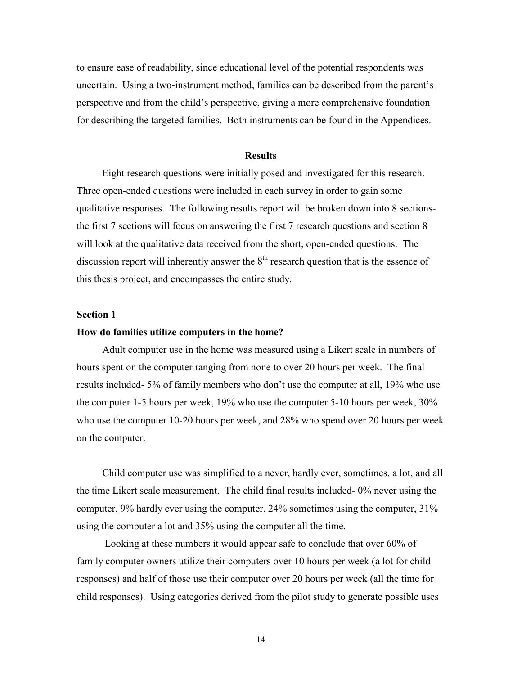to ensure ease of readability, since educational level of the potential respondents was uncertain. Using a two-instrument method, families can be described from the parent's perspective and from the child's perspective, giving a more comprehensive foundation for describing the targeted families. Both instruments can be found in the Appendices.

#### **Results**

 Eight research questions were initially posed and investigated for this research. Three open-ended questions were included in each survey in order to gain some qualitative responses. The following results report will be broken down into 8 sectionsthe first 7 sections will focus on answering the first 7 research questions and section 8 will look at the qualitative data received from the short, open-ended questions. The discussion report will inherently answer the  $8<sup>th</sup>$  research question that is the essence of this thesis project, and encompasses the entire study.

## **Section 1**

#### **How do families utilize computers in the home?**

 Adult computer use in the home was measured using a Likert scale in numbers of hours spent on the computer ranging from none to over 20 hours per week. The final results included- 5% of family members who don't use the computer at all, 19% who use the computer 1-5 hours per week, 19% who use the computer 5-10 hours per week, 30% who use the computer 10-20 hours per week, and 28% who spend over 20 hours per week on the computer.

 Child computer use was simplified to a never, hardly ever, sometimes, a lot, and all the time Likert scale measurement. The child final results included- 0% never using the computer, 9% hardly ever using the computer, 24% sometimes using the computer, 31% using the computer a lot and 35% using the computer all the time.

 Looking at these numbers it would appear safe to conclude that over 60% of family computer owners utilize their computers over 10 hours per week (a lot for child responses) and half of those use their computer over 20 hours per week (all the time for child responses). Using categories derived from the pilot study to generate possible uses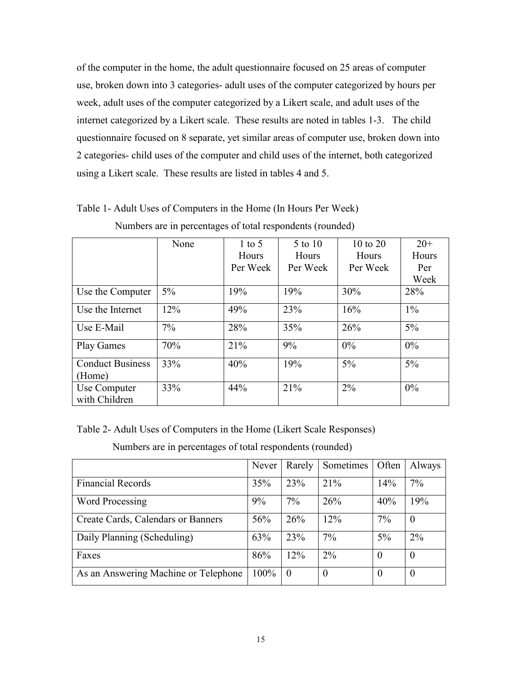of the computer in the home, the adult questionnaire focused on 25 areas of computer use, broken down into 3 categories- adult uses of the computer categorized by hours per week, adult uses of the computer categorized by a Likert scale, and adult uses of the internet categorized by a Likert scale. These results are noted in tables 1-3. The child questionnaire focused on 8 separate, yet similar areas of computer use, broken down into 2 categories- child uses of the computer and child uses of the internet, both categorized using a Likert scale. These results are listed in tables 4 and 5.

|                                   | None  | $1$ to 5 | 5 to 10  | 10 to 20 | $20+$ |
|-----------------------------------|-------|----------|----------|----------|-------|
|                                   |       | Hours    | Hours    | Hours    | Hours |
|                                   |       | Per Week | Per Week | Per Week | Per   |
|                                   |       |          |          |          | Week  |
| Use the Computer                  | $5\%$ | 19%      | 19%      | 30%      | 28%   |
| Use the Internet                  | 12%   | 49%      | 23%      | 16%      | $1\%$ |
| Use E-Mail                        | $7\%$ | 28%      | 35%      | 26%      | $5\%$ |
| <b>Play Games</b>                 | 70%   | 21%      | 9%       | $0\%$    | $0\%$ |
| <b>Conduct Business</b><br>(Home) | 33%   | 40%      | 19%      | $5\%$    | $5\%$ |
| Use Computer<br>with Children     | 33%   | 44%      | 21%      | $2\%$    | 0%    |

Table 1- Adult Uses of Computers in the Home (In Hours Per Week)

|  | Numbers are in percentages of total respondents (rounded) |  |
|--|-----------------------------------------------------------|--|
|  |                                                           |  |

Table 2- Adult Uses of Computers in the Home (Likert Scale Responses)

Numbers are in percentages of total respondents (rounded)

|                                      | Never | Rarely         | Sometimes        | Often            | Always           |
|--------------------------------------|-------|----------------|------------------|------------------|------------------|
| <b>Financial Records</b>             | 35%   | 23%            | 21%              | 14%              | $7\%$            |
| Word Processing                      | 9%    | 7%             | 26%              | 40%              | 19%              |
| Create Cards, Calendars or Banners   | 56%   | 26%            | 12%              | 7%               | $\boldsymbol{0}$ |
| Daily Planning (Scheduling)          | 63%   | 23%            | 7%               | 5%               | $2\%$            |
| Faxes                                | 86%   | 12%            | 2%               | $\theta$         | $\theta$         |
| As an Answering Machine or Telephone | 100%  | $\overline{0}$ | $\boldsymbol{0}$ | $\boldsymbol{0}$ | $\boldsymbol{0}$ |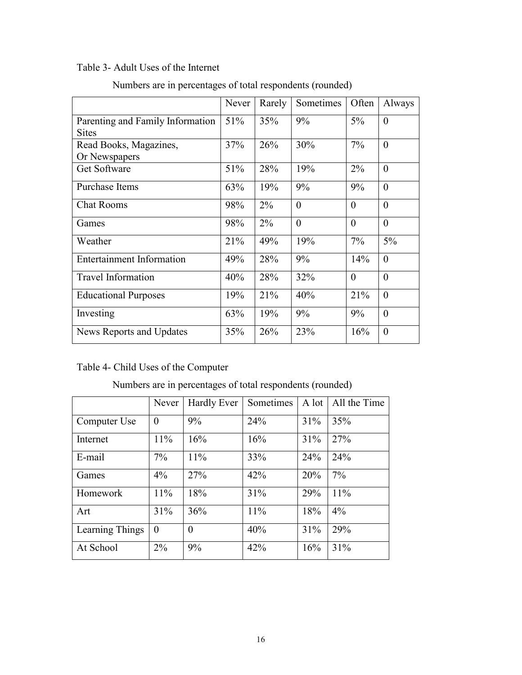# Table 3- Adult Uses of the Internet

|                                        | Never | Rarely | Sometimes | Often    | Always         |
|----------------------------------------|-------|--------|-----------|----------|----------------|
| Parenting and Family Information       | 51%   | 35%    | 9%        | 5%       | $\theta$       |
| <b>Sites</b><br>Read Books, Magazines, | 37%   | 26%    | 30%       | 7%       | $\theta$       |
| Or Newspapers                          |       |        |           |          |                |
| Get Software                           | 51%   | 28%    | 19%       | $2\%$    | $\overline{0}$ |
| Purchase Items                         | 63%   | 19%    | 9%        | 9%       | $\theta$       |
| <b>Chat Rooms</b>                      | 98%   | $2\%$  | $\theta$  | $\theta$ | $\theta$       |
| Games                                  | 98%   | $2\%$  | $\theta$  | $\theta$ | $\theta$       |
| Weather                                | 21%   | 49%    | 19%       | 7%       | 5%             |
| <b>Entertainment Information</b>       | 49%   | 28%    | 9%        | 14%      | $\overline{0}$ |
| <b>Travel Information</b>              | 40%   | 28%    | 32%       | $\theta$ | $\theta$       |
| <b>Educational Purposes</b>            | 19%   | 21%    | 40%       | 21%      | $\theta$       |
| Investing                              | 63%   | 19%    | 9%        | 9%       | $\theta$       |
| News Reports and Updates               | 35%   | 26%    | 23%       | 16%      | $\theta$       |

Numbers are in percentages of total respondents (rounded)

# Table 4- Child Uses of the Computer

| Numbers are in percentages of total respondents (rounded) |  |
|-----------------------------------------------------------|--|
|-----------------------------------------------------------|--|

|                 | Never    | Hardly Ever    | Sometimes | A lot | All the Time |
|-----------------|----------|----------------|-----------|-------|--------------|
| Computer Use    | $\theta$ | 9%             | 24%       | 31%   | 35%          |
| Internet        | 11%      | 16%            | 16%       | 31%   | 27%          |
| E-mail          | $7\%$    | 11%            | 33%       | 24%   | 24%          |
| Games           | 4%       | 27%            | 42%       | 20%   | 7%           |
| Homework        | 11%      | 18%            | 31%       | 29%   | 11%          |
| Art             | 31%      | 36%            | 11%       | 18%   | 4%           |
| Learning Things | $\theta$ | $\overline{0}$ | 40%       | 31%   | 29%          |
| At School       | $2\%$    | 9%             | 42%       | 16%   | 31%          |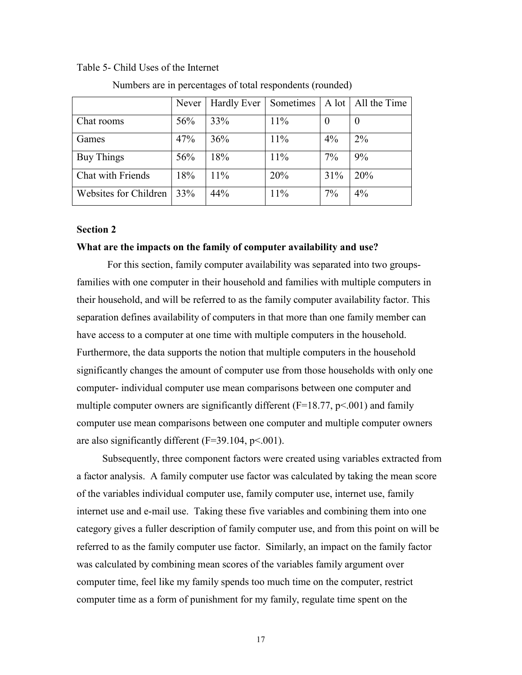#### Table 5- Child Uses of the Internet

|                       | Never | <b>Hardly Ever</b> | Sometimes |          | A lot   All the Time |
|-----------------------|-------|--------------------|-----------|----------|----------------------|
| Chat rooms            | 56%   | 33%                | 11%       | $\theta$ | v                    |
| Games                 | 47%   | 36%                | 11%       | $4\%$    | $2\%$                |
| <b>Buy Things</b>     | 56%   | 18%                | 11%       | 7%       | 9%                   |
| Chat with Friends     | 18%   | 11%                | 20%       | 31%      | 20%                  |
| Websites for Children | 33%   | 44%                | 11%       | 7%       | $4\%$                |

Numbers are in percentages of total respondents (rounded)

#### **Section 2**

#### **What are the impacts on the family of computer availability and use?**

 For this section, family computer availability was separated into two groupsfamilies with one computer in their household and families with multiple computers in their household, and will be referred to as the family computer availability factor. This separation defines availability of computers in that more than one family member can have access to a computer at one time with multiple computers in the household. Furthermore, the data supports the notion that multiple computers in the household significantly changes the amount of computer use from those households with only one computer- individual computer use mean comparisons between one computer and multiple computer owners are significantly different  $(F=18.77, p<.001)$  and family computer use mean comparisons between one computer and multiple computer owners are also significantly different  $(F=39.104, p<.001)$ .

 Subsequently, three component factors were created using variables extracted from a factor analysis. A family computer use factor was calculated by taking the mean score of the variables individual computer use, family computer use, internet use, family internet use and e-mail use. Taking these five variables and combining them into one category gives a fuller description of family computer use, and from this point on will be referred to as the family computer use factor. Similarly, an impact on the family factor was calculated by combining mean scores of the variables family argument over computer time, feel like my family spends too much time on the computer, restrict computer time as a form of punishment for my family, regulate time spent on the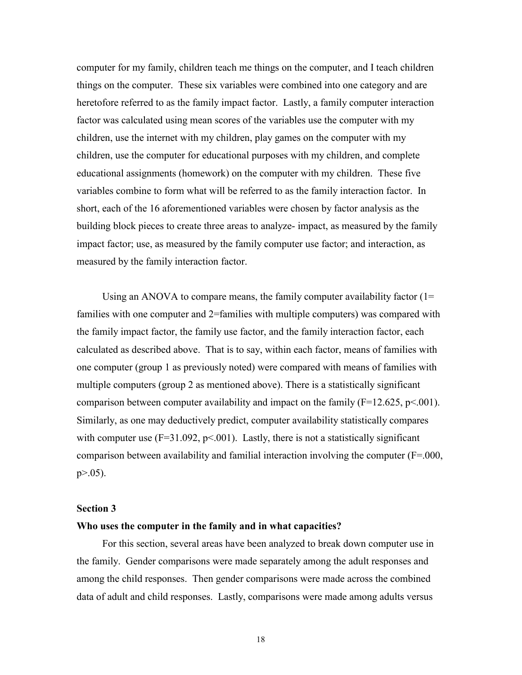computer for my family, children teach me things on the computer, and I teach children things on the computer. These six variables were combined into one category and are heretofore referred to as the family impact factor. Lastly, a family computer interaction factor was calculated using mean scores of the variables use the computer with my children, use the internet with my children, play games on the computer with my children, use the computer for educational purposes with my children, and complete educational assignments (homework) on the computer with my children. These five variables combine to form what will be referred to as the family interaction factor. In short, each of the 16 aforementioned variables were chosen by factor analysis as the building block pieces to create three areas to analyze- impact, as measured by the family impact factor; use, as measured by the family computer use factor; and interaction, as measured by the family interaction factor.

Using an ANOVA to compare means, the family computer availability factor  $(1=$ families with one computer and 2=families with multiple computers) was compared with the family impact factor, the family use factor, and the family interaction factor, each calculated as described above. That is to say, within each factor, means of families with one computer (group 1 as previously noted) were compared with means of families with multiple computers (group 2 as mentioned above). There is a statistically significant comparison between computer availability and impact on the family  $(F=12.625, p<.001)$ . Similarly, as one may deductively predict, computer availability statistically compares with computer use  $(F=31.092, p<.001)$ . Lastly, there is not a statistically significant comparison between availability and familial interaction involving the computer (F=.000,  $p > 0.05$ ).

#### **Section 3**

#### **Who uses the computer in the family and in what capacities?**

 For this section, several areas have been analyzed to break down computer use in the family. Gender comparisons were made separately among the adult responses and among the child responses. Then gender comparisons were made across the combined data of adult and child responses. Lastly, comparisons were made among adults versus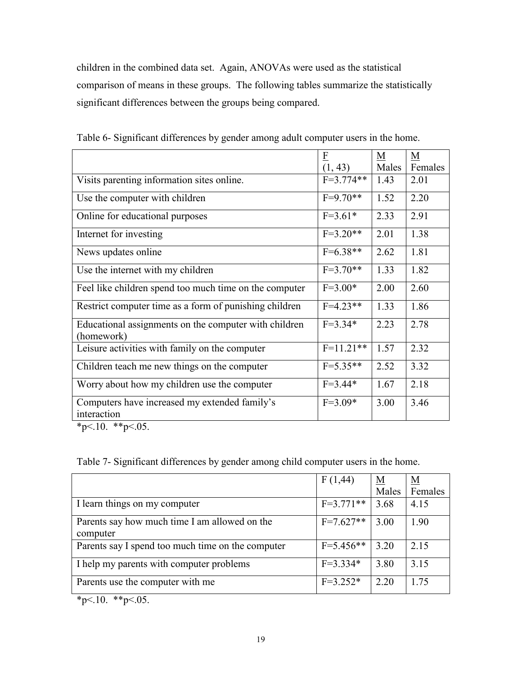children in the combined data set. Again, ANOVAs were used as the statistical comparison of means in these groups. The following tables summarize the statistically significant differences between the groups being compared.

|                                                                     | $\overline{\mathrm{E}}$ | M     | $\underline{M}$ |
|---------------------------------------------------------------------|-------------------------|-------|-----------------|
|                                                                     | (1, 43)                 | Males | Females         |
| Visits parenting information sites online.                          | $F=3.774**$             | 1.43  | 2.01            |
| Use the computer with children                                      | $F=9.70**$              | 1.52  | 2.20            |
| Online for educational purposes                                     | $F=3.61*$               | 2.33  | 2.91            |
| Internet for investing                                              | $F=3.20**$              | 2.01  | 1.38            |
| News updates online                                                 | $F=6.38**$              | 2.62  | 1.81            |
| Use the internet with my children                                   | $F=3.70**$              | 1.33  | 1.82            |
| Feel like children spend too much time on the computer              | $F=3.00*$               | 2.00  | 2.60            |
| Restrict computer time as a form of punishing children              | $F=4.23**$              | 1.33  | 1.86            |
| Educational assignments on the computer with children<br>(homework) | $F = 3.34*$             | 2.23  | 2.78            |
| Leisure activities with family on the computer                      | $F=11.21**$             | 1.57  | 2.32            |
| Children teach me new things on the computer                        | $F=5.35**$              | 2.52  | 3.32            |
| Worry about how my children use the computer                        | $F = 3.44*$             | 1.67  | 2.18            |
| Computers have increased my extended family's<br>interaction        | $F=3.09*$               | 3.00  | 3.46            |

Table 6- Significant differences by gender among adult computer users in the home.

\*p<.10. \*\*p<.05.

| Table 7- Significant differences by gender among child computer users in the home. |
|------------------------------------------------------------------------------------|
|------------------------------------------------------------------------------------|

|                                                           | F(1,44)     | $\underline{\mathbf{M}}$<br>Males | <u>M</u><br>Females |
|-----------------------------------------------------------|-------------|-----------------------------------|---------------------|
| I learn things on my computer                             | $F=3.771**$ | 3.68                              | 4.15                |
| Parents say how much time I am allowed on the<br>computer | $F=7.627**$ | 3.00                              | 1.90                |
| Parents say I spend too much time on the computer         | $F=5.456**$ | 3.20                              | 2.15                |
| I help my parents with computer problems                  | $F=3.334*$  | 3.80                              | 3.15                |
| Parents use the computer with me                          | $F=3.252*$  | 2.20                              | 1.75                |

 $*p<.10.$  \*\*p<.05.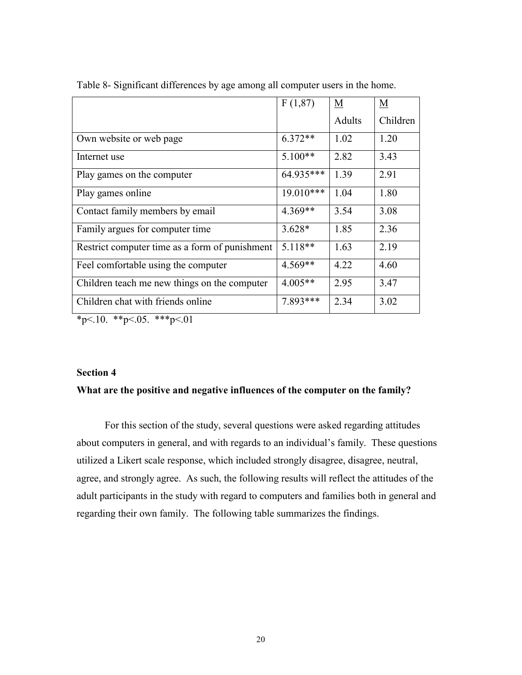|                                                | F(1,87)     | M      | $\underline{\mathbf{M}}$ |
|------------------------------------------------|-------------|--------|--------------------------|
|                                                |             | Adults | Children                 |
| Own website or web page                        | $6.372**$   | 1.02   | 1.20                     |
| Internet use                                   | $5.100**$   | 2.82   | 3.43                     |
| Play games on the computer                     | 64.935***   | 1.39   | 2.91                     |
| Play games online                              | $19.010***$ | 1.04   | 1.80                     |
| Contact family members by email                | $4.369**$   | 3.54   | 3.08                     |
| Family argues for computer time                | $3.628*$    | 1.85   | 2.36                     |
| Restrict computer time as a form of punishment | $5.118**$   | 1.63   | 2.19                     |
| Feel comfortable using the computer            | $4.569**$   | 4.22   | 4.60                     |
| Children teach me new things on the computer   | $4.005**$   | 2.95   | 3.47                     |
| Children chat with friends online              | 7.893***    | 2.34   | 3.02                     |

Table 8- Significant differences by age among all computer users in the home.

 $*p<.10.$   $*p<.05.$   $**p<.01$ 

#### **Section 4**

## **What are the positive and negative influences of the computer on the family?**

 For this section of the study, several questions were asked regarding attitudes about computers in general, and with regards to an individual's family. These questions utilized a Likert scale response, which included strongly disagree, disagree, neutral, agree, and strongly agree. As such, the following results will reflect the attitudes of the adult participants in the study with regard to computers and families both in general and regarding their own family. The following table summarizes the findings.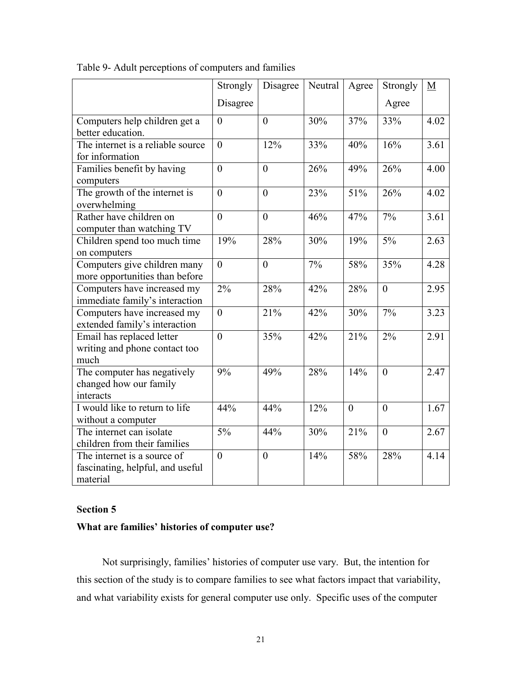|                                   | Strongly       | Disagree         | Neutral | Agree          | Strongly       | $\underline{M}$ |
|-----------------------------------|----------------|------------------|---------|----------------|----------------|-----------------|
|                                   | Disagree       |                  |         |                | Agree          |                 |
| Computers help children get a     | $\overline{0}$ | $\overline{0}$   | 30%     | 37%            | 33%            | 4.02            |
| better education.                 |                |                  |         |                |                |                 |
| The internet is a reliable source | $\overline{0}$ | 12%              | 33%     | 40%            | 16%            | 3.61            |
| for information                   |                |                  |         |                |                |                 |
| Families benefit by having        | $\theta$       | $\theta$         | 26%     | 49%            | 26%            | 4.00            |
| computers                         |                |                  |         |                |                |                 |
| The growth of the internet is     | $\theta$       | $\overline{0}$   | 23%     | 51%            | 26%            | 4.02            |
| overwhelming                      |                |                  |         |                |                |                 |
| Rather have children on           | $\theta$       | $\overline{0}$   | 46%     | 47%            | 7%             | 3.61            |
| computer than watching TV         |                |                  |         |                |                |                 |
| Children spend too much time      | 19%            | 28%              | 30%     | 19%            | 5%             | 2.63            |
| on computers                      |                |                  |         |                |                |                 |
| Computers give children many      | $\overline{0}$ | $\boldsymbol{0}$ | 7%      | 58%            | 35%            | 4.28            |
| more opportunities than before    |                |                  |         |                |                |                 |
| Computers have increased my       | 2%             | 28%              | 42%     | 28%            | $\overline{0}$ | 2.95            |
| immediate family's interaction    |                |                  |         |                |                |                 |
| Computers have increased my       | $\theta$       | 21%              | 42%     | 30%            | 7%             | 3.23            |
| extended family's interaction     |                |                  |         |                |                |                 |
| Email has replaced letter         | $\overline{0}$ | 35%              | 42%     | 21%            | 2%             | 2.91            |
| writing and phone contact too     |                |                  |         |                |                |                 |
| much                              |                |                  |         |                |                |                 |
| The computer has negatively       | 9%             | 49%              | 28%     | 14%            | $\overline{0}$ | 2.47            |
| changed how our family            |                |                  |         |                |                |                 |
| interacts                         |                |                  |         |                |                |                 |
| I would like to return to life    | 44%            | 44%              | 12%     | $\overline{0}$ | $\theta$       | 1.67            |
| without a computer                |                |                  |         |                |                |                 |
| The internet can isolate          | 5%             | 44%              | 30%     | 21%            | $\overline{0}$ | 2.67            |
| children from their families      |                |                  |         |                |                |                 |
| The internet is a source of       | $\mathbf{0}$   | $\boldsymbol{0}$ | 14%     | 58%            | 28%            | 4.14            |
| fascinating, helpful, and useful  |                |                  |         |                |                |                 |
| material                          |                |                  |         |                |                |                 |

Table 9- Adult perceptions of computers and families

## **Section 5**

# **What are families' histories of computer use?**

 Not surprisingly, families' histories of computer use vary. But, the intention for this section of the study is to compare families to see what factors impact that variability, and what variability exists for general computer use only. Specific uses of the computer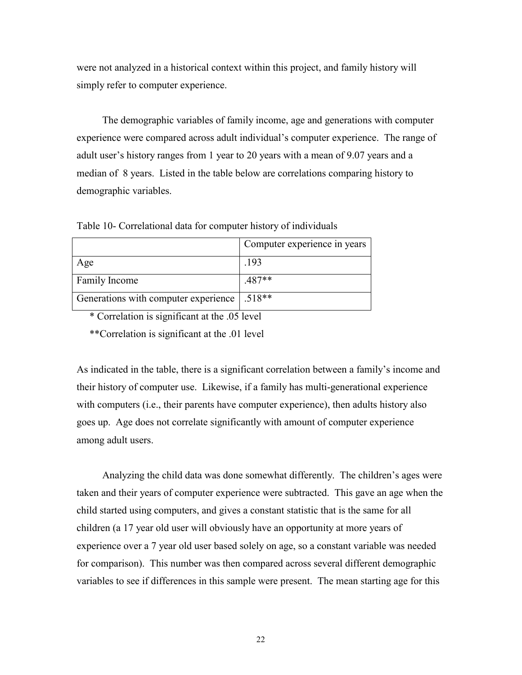were not analyzed in a historical context within this project, and family history will simply refer to computer experience.

 The demographic variables of family income, age and generations with computer experience were compared across adult individual's computer experience. The range of adult user's history ranges from 1 year to 20 years with a mean of 9.07 years and a median of 8 years. Listed in the table below are correlations comparing history to demographic variables.

| Table 10- Correlational data for computer history of individuals |
|------------------------------------------------------------------|
|------------------------------------------------------------------|

|                                      | Computer experience in years |
|--------------------------------------|------------------------------|
| Age                                  | .193                         |
| <b>Family Income</b>                 | $.487**$                     |
| Generations with computer experience | $.518**$                     |

\* Correlation is significant at the .05 level

\*\*Correlation is significant at the .01 level

As indicated in the table, there is a significant correlation between a family's income and their history of computer use. Likewise, if a family has multi-generational experience with computers (i.e., their parents have computer experience), then adults history also goes up. Age does not correlate significantly with amount of computer experience among adult users.

 Analyzing the child data was done somewhat differently. The children's ages were taken and their years of computer experience were subtracted. This gave an age when the child started using computers, and gives a constant statistic that is the same for all children (a 17 year old user will obviously have an opportunity at more years of experience over a 7 year old user based solely on age, so a constant variable was needed for comparison). This number was then compared across several different demographic variables to see if differences in this sample were present. The mean starting age for this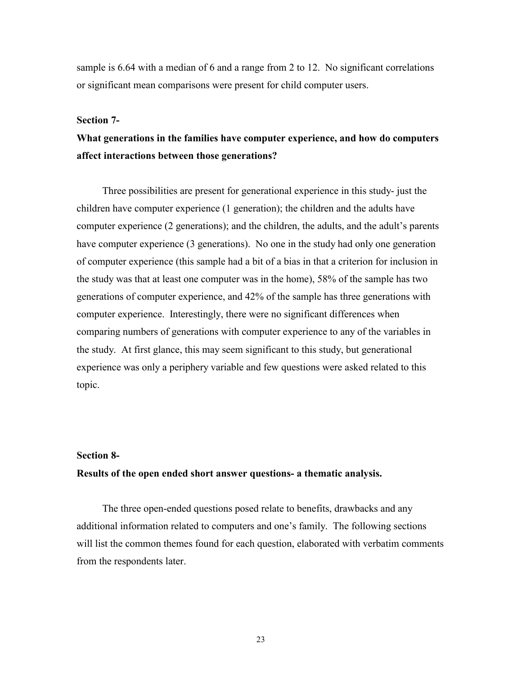sample is 6.64 with a median of 6 and a range from 2 to 12. No significant correlations or significant mean comparisons were present for child computer users.

#### **Section 7-**

# **What generations in the families have computer experience, and how do computers affect interactions between those generations?**

Three possibilities are present for generational experience in this study- just the children have computer experience (1 generation); the children and the adults have computer experience (2 generations); and the children, the adults, and the adult's parents have computer experience (3 generations). No one in the study had only one generation of computer experience (this sample had a bit of a bias in that a criterion for inclusion in the study was that at least one computer was in the home), 58% of the sample has two generations of computer experience, and 42% of the sample has three generations with computer experience. Interestingly, there were no significant differences when comparing numbers of generations with computer experience to any of the variables in the study. At first glance, this may seem significant to this study, but generational experience was only a periphery variable and few questions were asked related to this topic.

### **Section 8-**

## **Results of the open ended short answer questions- a thematic analysis.**

The three open-ended questions posed relate to benefits, drawbacks and any additional information related to computers and one's family. The following sections will list the common themes found for each question, elaborated with verbatim comments from the respondents later.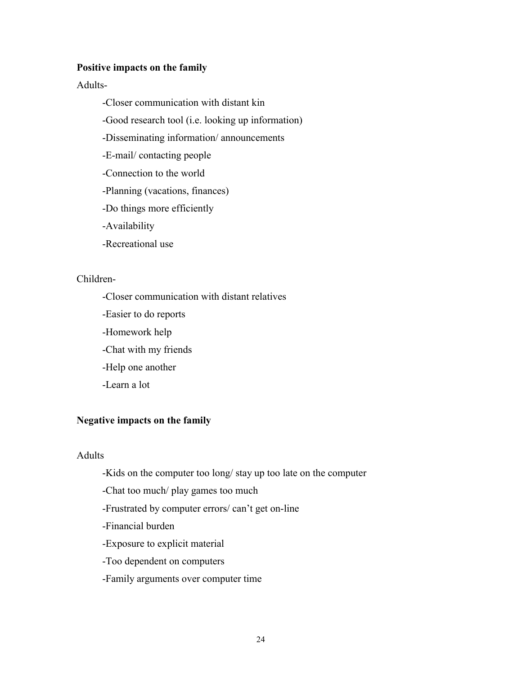#### **Positive impacts on the family**

Adults-

- -Closer communication with distant kin
- -Good research tool (i.e. looking up information)
- -Disseminating information/ announcements
- -E-mail/ contacting people
- -Connection to the world
- -Planning (vacations, finances)
- -Do things more efficiently
- -Availability
- -Recreational use

# Children-

- -Closer communication with distant relatives
- -Easier to do reports
- -Homework help
- -Chat with my friends
- -Help one another
- -Learn a lot

### **Negative impacts on the family**

## Adults

- -Kids on the computer too long/ stay up too late on the computer
- -Chat too much/ play games too much
- -Frustrated by computer errors/ can't get on-line
- -Financial burden
- -Exposure to explicit material
- -Too dependent on computers
- -Family arguments over computer time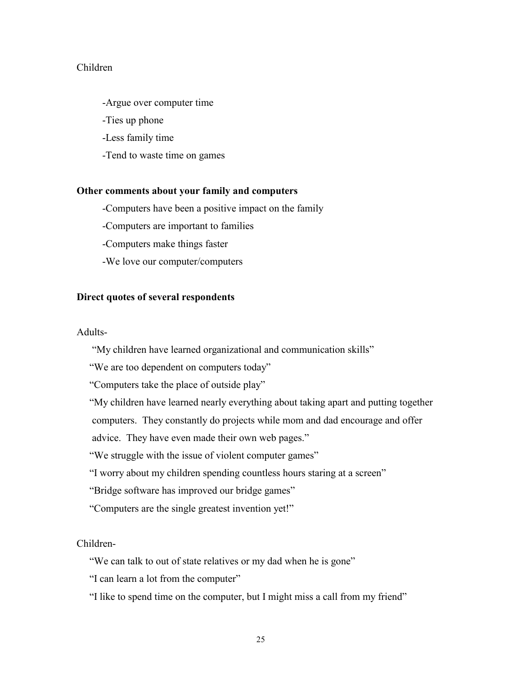# Children

-Argue over computer time

-Ties up phone

-Less family time

-Tend to waste time on games

#### **Other comments about your family and computers**

-Computers have been a positive impact on the family

-Computers are important to families

-Computers make things faster

-We love our computer/computers

## **Direct quotes of several respondents**

#### Adults-

"My children have learned organizational and communication skills"

"We are too dependent on computers today"

"Computers take the place of outside play"

"My children have learned nearly everything about taking apart and putting together

computers. They constantly do projects while mom and dad encourage and offer

advice. They have even made their own web pages."

"We struggle with the issue of violent computer games"

"I worry about my children spending countless hours staring at a screen"

"Bridge software has improved our bridge games"

"Computers are the single greatest invention yet!"

Children-

"We can talk to out of state relatives or my dad when he is gone"

"I can learn a lot from the computer"

"I like to spend time on the computer, but I might miss a call from my friend"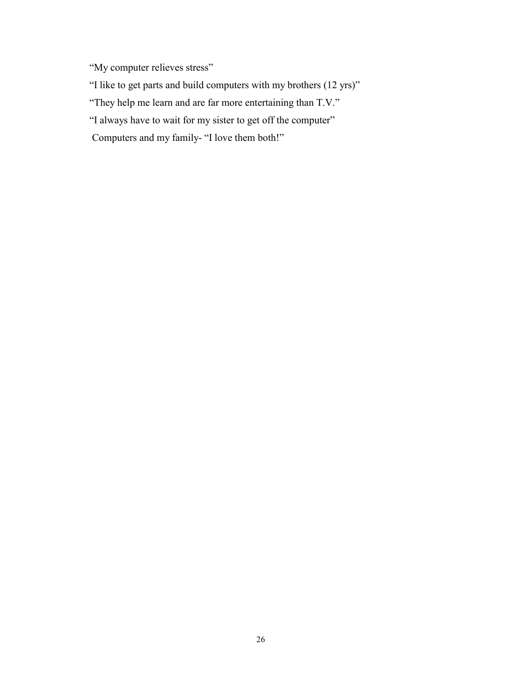"My computer relieves stress"

"I like to get parts and build computers with my brothers (12 yrs)"

"They help me learn and are far more entertaining than T.V."

"I always have to wait for my sister to get off the computer"

Computers and my family- "I love them both!"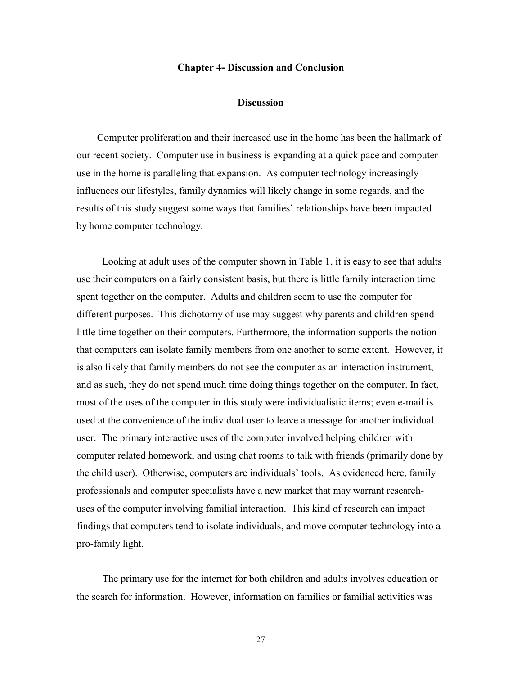#### **Chapter 4- Discussion and Conclusion**

#### **Discussion**

Computer proliferation and their increased use in the home has been the hallmark of our recent society. Computer use in business is expanding at a quick pace and computer use in the home is paralleling that expansion. As computer technology increasingly influences our lifestyles, family dynamics will likely change in some regards, and the results of this study suggest some ways that families' relationships have been impacted by home computer technology.

 Looking at adult uses of the computer shown in Table 1, it is easy to see that adults use their computers on a fairly consistent basis, but there is little family interaction time spent together on the computer. Adults and children seem to use the computer for different purposes. This dichotomy of use may suggest why parents and children spend little time together on their computers. Furthermore, the information supports the notion that computers can isolate family members from one another to some extent. However, it is also likely that family members do not see the computer as an interaction instrument, and as such, they do not spend much time doing things together on the computer. In fact, most of the uses of the computer in this study were individualistic items; even e-mail is used at the convenience of the individual user to leave a message for another individual user. The primary interactive uses of the computer involved helping children with computer related homework, and using chat rooms to talk with friends (primarily done by the child user). Otherwise, computers are individuals' tools. As evidenced here, family professionals and computer specialists have a new market that may warrant researchuses of the computer involving familial interaction. This kind of research can impact findings that computers tend to isolate individuals, and move computer technology into a pro-family light.

 The primary use for the internet for both children and adults involves education or the search for information. However, information on families or familial activities was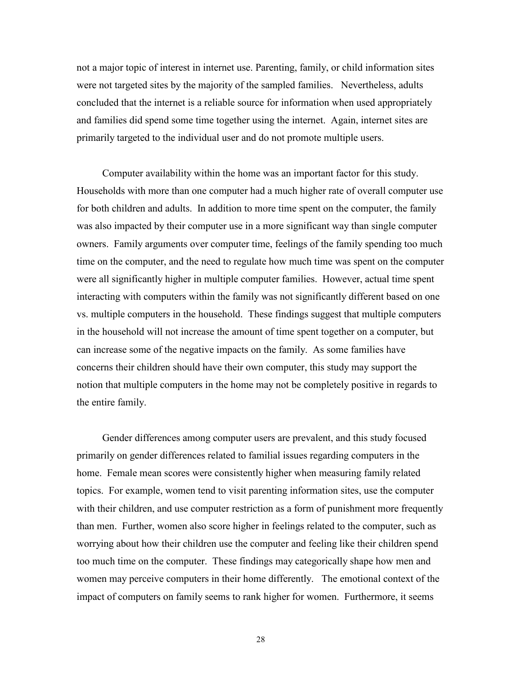not a major topic of interest in internet use. Parenting, family, or child information sites were not targeted sites by the majority of the sampled families. Nevertheless, adults concluded that the internet is a reliable source for information when used appropriately and families did spend some time together using the internet. Again, internet sites are primarily targeted to the individual user and do not promote multiple users.

Computer availability within the home was an important factor for this study. Households with more than one computer had a much higher rate of overall computer use for both children and adults. In addition to more time spent on the computer, the family was also impacted by their computer use in a more significant way than single computer owners. Family arguments over computer time, feelings of the family spending too much time on the computer, and the need to regulate how much time was spent on the computer were all significantly higher in multiple computer families. However, actual time spent interacting with computers within the family was not significantly different based on one vs. multiple computers in the household. These findings suggest that multiple computers in the household will not increase the amount of time spent together on a computer, but can increase some of the negative impacts on the family. As some families have concerns their children should have their own computer, this study may support the notion that multiple computers in the home may not be completely positive in regards to the entire family.

 Gender differences among computer users are prevalent, and this study focused primarily on gender differences related to familial issues regarding computers in the home. Female mean scores were consistently higher when measuring family related topics. For example, women tend to visit parenting information sites, use the computer with their children, and use computer restriction as a form of punishment more frequently than men. Further, women also score higher in feelings related to the computer, such as worrying about how their children use the computer and feeling like their children spend too much time on the computer. These findings may categorically shape how men and women may perceive computers in their home differently. The emotional context of the impact of computers on family seems to rank higher for women. Furthermore, it seems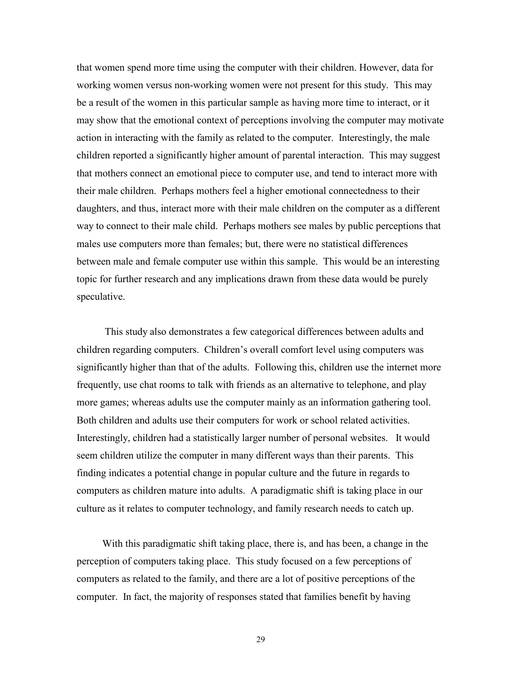that women spend more time using the computer with their children. However, data for working women versus non-working women were not present for this study. This may be a result of the women in this particular sample as having more time to interact, or it may show that the emotional context of perceptions involving the computer may motivate action in interacting with the family as related to the computer. Interestingly, the male children reported a significantly higher amount of parental interaction. This may suggest that mothers connect an emotional piece to computer use, and tend to interact more with their male children. Perhaps mothers feel a higher emotional connectedness to their daughters, and thus, interact more with their male children on the computer as a different way to connect to their male child. Perhaps mothers see males by public perceptions that males use computers more than females; but, there were no statistical differences between male and female computer use within this sample. This would be an interesting topic for further research and any implications drawn from these data would be purely speculative.

 This study also demonstrates a few categorical differences between adults and children regarding computers. Children's overall comfort level using computers was significantly higher than that of the adults. Following this, children use the internet more frequently, use chat rooms to talk with friends as an alternative to telephone, and play more games; whereas adults use the computer mainly as an information gathering tool. Both children and adults use their computers for work or school related activities. Interestingly, children had a statistically larger number of personal websites. It would seem children utilize the computer in many different ways than their parents. This finding indicates a potential change in popular culture and the future in regards to computers as children mature into adults. A paradigmatic shift is taking place in our culture as it relates to computer technology, and family research needs to catch up.

 With this paradigmatic shift taking place, there is, and has been, a change in the perception of computers taking place. This study focused on a few perceptions of computers as related to the family, and there are a lot of positive perceptions of the computer. In fact, the majority of responses stated that families benefit by having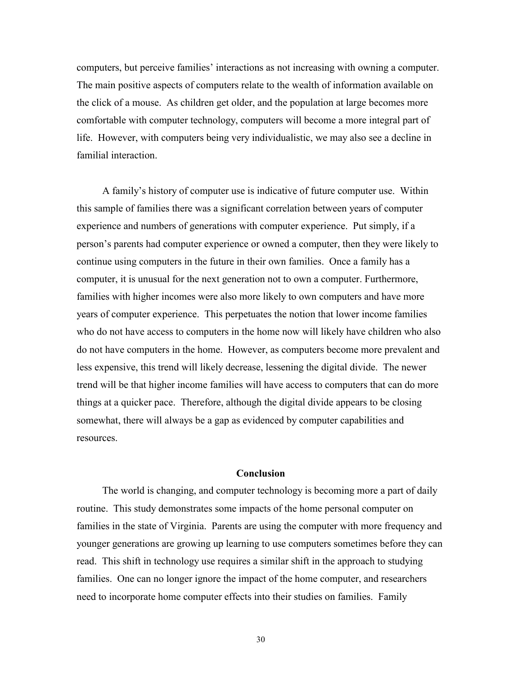computers, but perceive families' interactions as not increasing with owning a computer. The main positive aspects of computers relate to the wealth of information available on the click of a mouse. As children get older, and the population at large becomes more comfortable with computer technology, computers will become a more integral part of life. However, with computers being very individualistic, we may also see a decline in familial interaction.

 A family's history of computer use is indicative of future computer use. Within this sample of families there was a significant correlation between years of computer experience and numbers of generations with computer experience. Put simply, if a person's parents had computer experience or owned a computer, then they were likely to continue using computers in the future in their own families. Once a family has a computer, it is unusual for the next generation not to own a computer. Furthermore, families with higher incomes were also more likely to own computers and have more years of computer experience. This perpetuates the notion that lower income families who do not have access to computers in the home now will likely have children who also do not have computers in the home. However, as computers become more prevalent and less expensive, this trend will likely decrease, lessening the digital divide. The newer trend will be that higher income families will have access to computers that can do more things at a quicker pace. Therefore, although the digital divide appears to be closing somewhat, there will always be a gap as evidenced by computer capabilities and resources.

## **Conclusion**

The world is changing, and computer technology is becoming more a part of daily routine. This study demonstrates some impacts of the home personal computer on families in the state of Virginia. Parents are using the computer with more frequency and younger generations are growing up learning to use computers sometimes before they can read. This shift in technology use requires a similar shift in the approach to studying families. One can no longer ignore the impact of the home computer, and researchers need to incorporate home computer effects into their studies on families. Family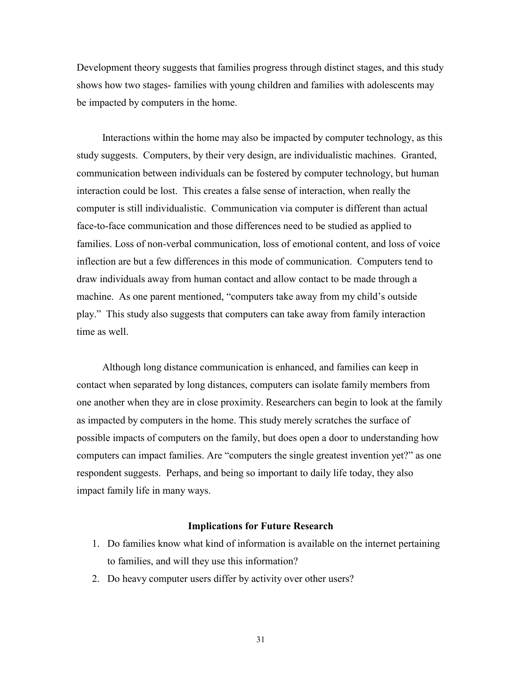Development theory suggests that families progress through distinct stages, and this study shows how two stages- families with young children and families with adolescents may be impacted by computers in the home.

 Interactions within the home may also be impacted by computer technology, as this study suggests. Computers, by their very design, are individualistic machines. Granted, communication between individuals can be fostered by computer technology, but human interaction could be lost. This creates a false sense of interaction, when really the computer is still individualistic. Communication via computer is different than actual face-to-face communication and those differences need to be studied as applied to families. Loss of non-verbal communication, loss of emotional content, and loss of voice inflection are but a few differences in this mode of communication. Computers tend to draw individuals away from human contact and allow contact to be made through a machine. As one parent mentioned, "computers take away from my child's outside play." This study also suggests that computers can take away from family interaction time as well.

 Although long distance communication is enhanced, and families can keep in contact when separated by long distances, computers can isolate family members from one another when they are in close proximity. Researchers can begin to look at the family as impacted by computers in the home. This study merely scratches the surface of possible impacts of computers on the family, but does open a door to understanding how computers can impact families. Are "computers the single greatest invention yet?" as one respondent suggests. Perhaps, and being so important to daily life today, they also impact family life in many ways.

#### **Implications for Future Research**

- 1. Do families know what kind of information is available on the internet pertaining to families, and will they use this information?
- 2. Do heavy computer users differ by activity over other users?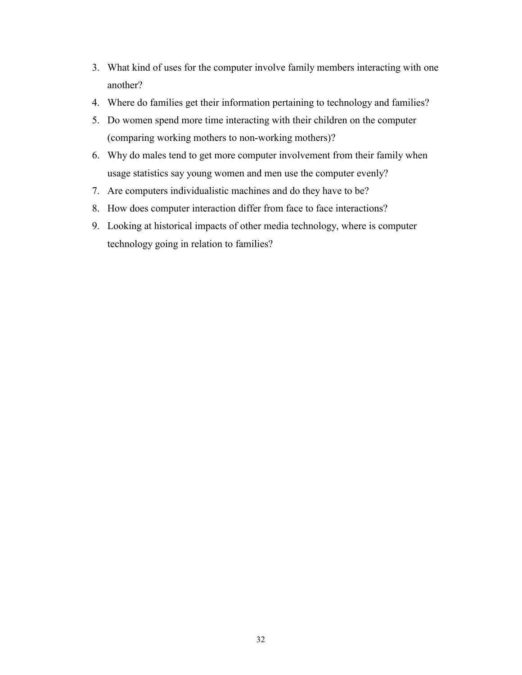- 3. What kind of uses for the computer involve family members interacting with one another?
- 4. Where do families get their information pertaining to technology and families?
- 5. Do women spend more time interacting with their children on the computer (comparing working mothers to non-working mothers)?
- 6. Why do males tend to get more computer involvement from their family when usage statistics say young women and men use the computer evenly?
- 7. Are computers individualistic machines and do they have to be?
- 8. How does computer interaction differ from face to face interactions?
- 9. Looking at historical impacts of other media technology, where is computer technology going in relation to families?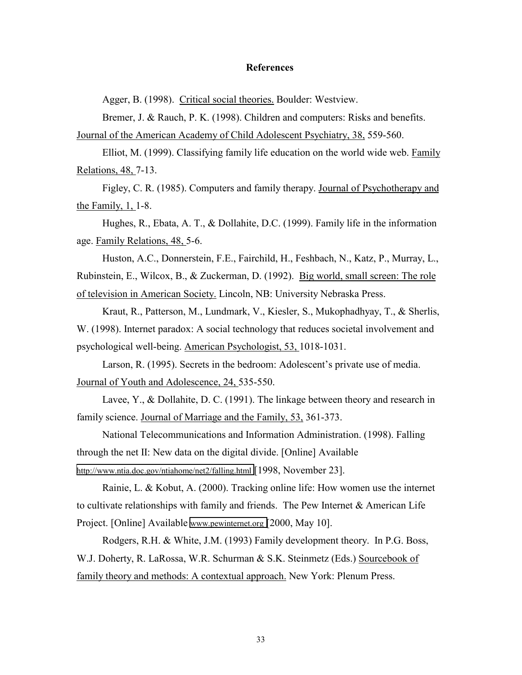#### **References**

Agger, B. (1998). Critical social theories. Boulder: Westview.

Bremer, J. & Rauch, P. K. (1998). Children and computers: Risks and benefits.

Journal of the American Academy of Child Adolescent Psychiatry, 38, 559-560.

 Elliot, M. (1999). Classifying family life education on the world wide web. Family Relations, 48, 7-13.

 Figley, C. R. (1985). Computers and family therapy. Journal of Psychotherapy and the Family, 1, 1-8.

 Hughes, R., Ebata, A. T., & Dollahite, D.C. (1999). Family life in the information age. Family Relations, 48, 5-6.

 Huston, A.C., Donnerstein, F.E., Fairchild, H., Feshbach, N., Katz, P., Murray, L., Rubinstein, E., Wilcox, B., & Zuckerman, D. (1992). Big world, small screen: The role of television in American Society. Lincoln, NB: University Nebraska Press.

 Kraut, R., Patterson, M., Lundmark, V., Kiesler, S., Mukophadhyay, T., & Sherlis, W. (1998). Internet paradox: A social technology that reduces societal involvement and psychological well-being. American Psychologist, 53, 1018-1031.

 Larson, R. (1995). Secrets in the bedroom: Adolescent's private use of media. Journal of Youth and Adolescence, 24, 535-550.

 Lavee, Y., & Dollahite, D. C. (1991). The linkage between theory and research in family science. Journal of Marriage and the Family, 53, 361-373.

 National Telecommunications and Information Administration. (1998). Falling through the net II: New data on the digital divide. [Online] Available <http://www.ntia.doc.gov/ntiahome/net2/falling.html>[1998, November 23].

 Rainie, L. & Kobut, A. (2000). Tracking online life: How women use the internet to cultivate relationships with family and friends. The Pew Internet & American Life Project. [Online] Available [www.pewinternet.org \[](http://www.pewinternet.org/)2000, May 10].

 Rodgers, R.H. & White, J.M. (1993) Family development theory. In P.G. Boss, W.J. Doherty, R. LaRossa, W.R. Schurman & S.K. Steinmetz (Eds.) Sourcebook of family theory and methods: A contextual approach. New York: Plenum Press.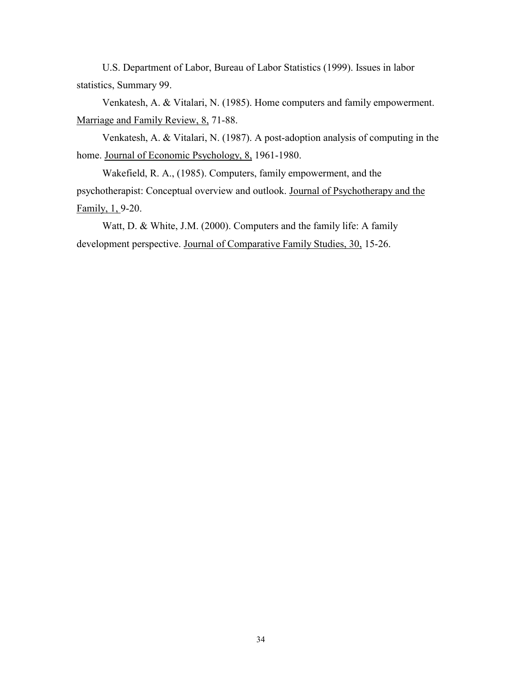U.S. Department of Labor, Bureau of Labor Statistics (1999). Issues in labor statistics, Summary 99.

 Venkatesh, A. & Vitalari, N. (1985). Home computers and family empowerment. Marriage and Family Review, 8, 71-88.

 Venkatesh, A. & Vitalari, N. (1987). A post-adoption analysis of computing in the home. Journal of Economic Psychology, 8, 1961-1980.

 Wakefield, R. A., (1985). Computers, family empowerment, and the psychotherapist: Conceptual overview and outlook. Journal of Psychotherapy and the Family, 1, 9-20.

 Watt, D. & White, J.M. (2000). Computers and the family life: A family development perspective. Journal of Comparative Family Studies, 30, 15-26.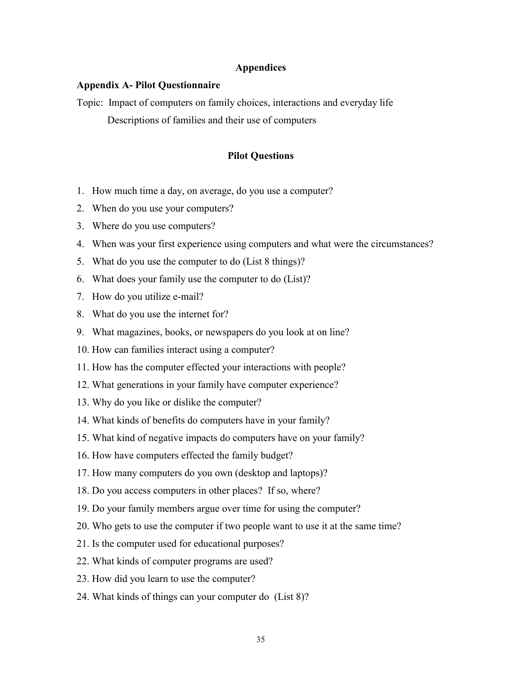## **Appendices**

#### **Appendix A- Pilot Questionnaire**

Topic: Impact of computers on family choices, interactions and everyday life Descriptions of families and their use of computers

#### **Pilot Questions**

- 1. How much time a day, on average, do you use a computer?
- 2. When do you use your computers?
- 3. Where do you use computers?
- 4. When was your first experience using computers and what were the circumstances?
- 5. What do you use the computer to do (List 8 things)?
- 6. What does your family use the computer to do (List)?
- 7. How do you utilize e-mail?
- 8. What do you use the internet for?
- 9. What magazines, books, or newspapers do you look at on line?
- 10. How can families interact using a computer?
- 11. How has the computer effected your interactions with people?
- 12. What generations in your family have computer experience?
- 13. Why do you like or dislike the computer?
- 14. What kinds of benefits do computers have in your family?
- 15. What kind of negative impacts do computers have on your family?
- 16. How have computers effected the family budget?
- 17. How many computers do you own (desktop and laptops)?
- 18. Do you access computers in other places? If so, where?
- 19. Do your family members argue over time for using the computer?
- 20. Who gets to use the computer if two people want to use it at the same time?
- 21. Is the computer used for educational purposes?
- 22. What kinds of computer programs are used?
- 23. How did you learn to use the computer?
- 24. What kinds of things can your computer do (List 8)?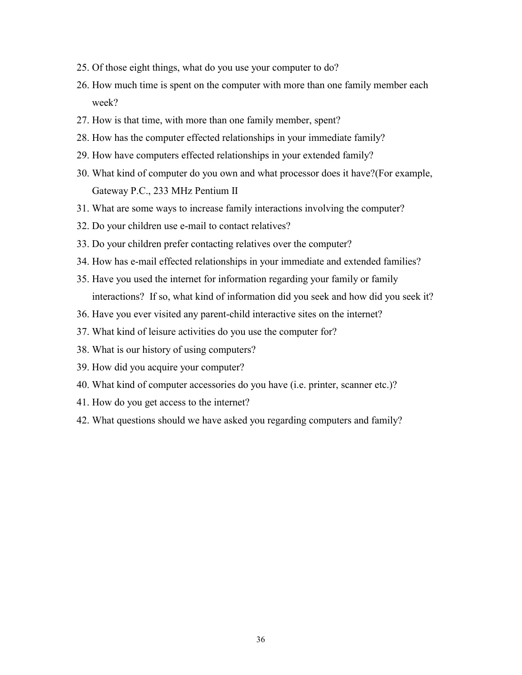- 25. Of those eight things, what do you use your computer to do?
- 26. How much time is spent on the computer with more than one family member each week?
- 27. How is that time, with more than one family member, spent?
- 28. How has the computer effected relationships in your immediate family?
- 29. How have computers effected relationships in your extended family?
- 30. What kind of computer do you own and what processor does it have?(For example, Gateway P.C., 233 MHz Pentium II
- 31. What are some ways to increase family interactions involving the computer?
- 32. Do your children use e-mail to contact relatives?
- 33. Do your children prefer contacting relatives over the computer?
- 34. How has e-mail effected relationships in your immediate and extended families?
- 35. Have you used the internet for information regarding your family or family interactions? If so, what kind of information did you seek and how did you seek it?
- 36. Have you ever visited any parent-child interactive sites on the internet?
- 37. What kind of leisure activities do you use the computer for?
- 38. What is our history of using computers?
- 39. How did you acquire your computer?
- 40. What kind of computer accessories do you have (i.e. printer, scanner etc.)?
- 41. How do you get access to the internet?
- 42. What questions should we have asked you regarding computers and family?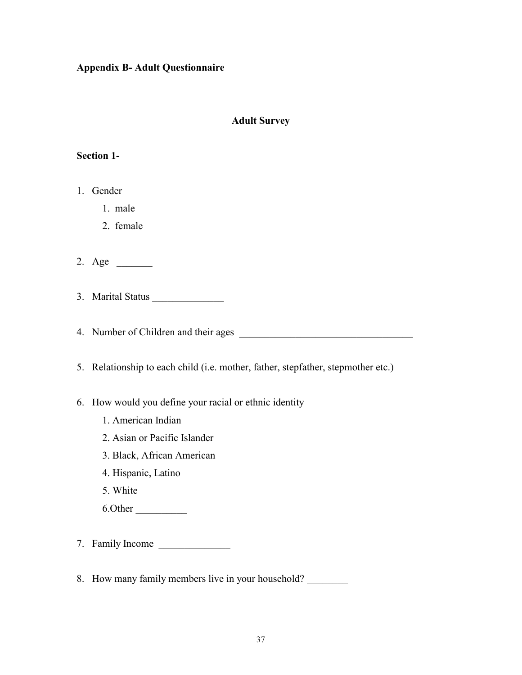# **Appendix B- Adult Questionnaire**

# **Adult Survey**

## **Section 1-**

- 1. Gender
	- 1. male
	- 2. female
- 2. Age \_\_\_\_\_\_\_
- 3. Marital Status
- 4. Number of Children and their ages
- 5. Relationship to each child (i.e. mother, father, stepfather, stepmother etc.)
- 6. How would you define your racial or ethnic identity
	- 1. American Indian
	- 2. Asian or Pacific Islander
	- 3. Black, African American
	- 4. Hispanic, Latino
	- 5. White
	- 6.Other \_\_\_\_\_\_\_\_\_\_
- 7. Family Income \_\_\_\_\_\_\_\_\_\_\_\_\_\_
- 8. How many family members live in your household?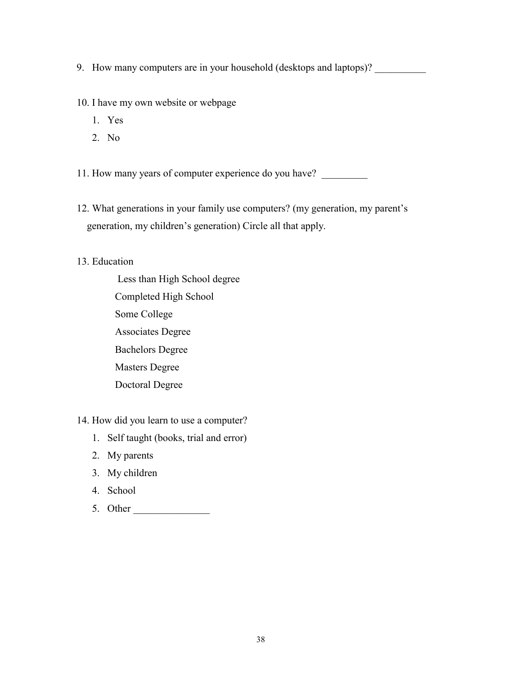9. How many computers are in your household (desktops and laptops)? \_\_\_\_\_\_\_\_\_\_\_\_

10. I have my own website or webpage

- 1. Yes
- 2. No

11. How many years of computer experience do you have? \_\_\_\_\_\_\_\_\_\_\_\_\_\_\_\_\_\_\_\_\_\_\_\_\_

12. What generations in your family use computers? (my generation, my parent's generation, my children's generation) Circle all that apply.

### 13. Education

 Less than High School degree Completed High School Some College Associates Degree Bachelors Degree Masters Degree Doctoral Degree

# 14. How did you learn to use a computer?

- 1. Self taught (books, trial and error)
- 2. My parents
- 3. My children
- 4. School
- 5. Other \_\_\_\_\_\_\_\_\_\_\_\_\_\_\_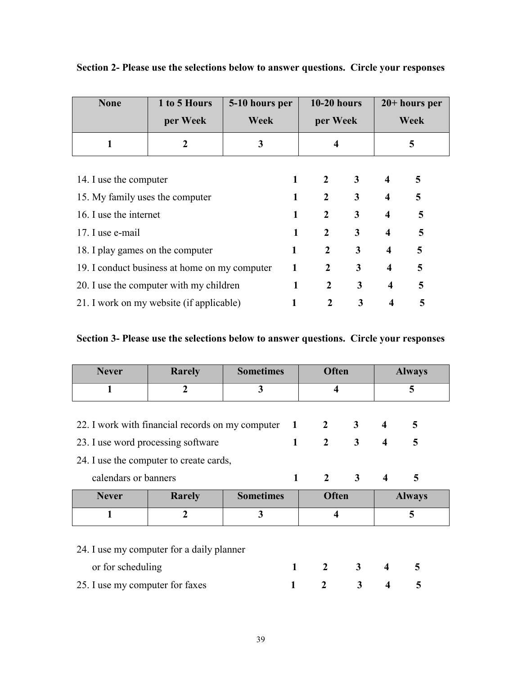| <b>None</b>                                   | 1 to 5 Hours<br>per Week                | 5-10 hours per<br>Week | $10-20$ hours<br>per Week      |                |                         | $20+$ hours per<br>Week |  |
|-----------------------------------------------|-----------------------------------------|------------------------|--------------------------------|----------------|-------------------------|-------------------------|--|
| 1                                             | $\mathbf{2}$                            | 3                      | 4                              |                |                         | 5                       |  |
| 14. I use the computer                        |                                         |                        | $\overline{2}$                 | 3 <sup>7</sup> | $\overline{\mathbf{4}}$ | 5                       |  |
| 15. My family uses the computer               |                                         |                        | $\overline{2}$<br>$\mathbf{1}$ | 3              | $\overline{\mathbf{4}}$ | 5                       |  |
| 16. I use the internet                        |                                         |                        | $\overline{2}$<br>1            | 3              | $\overline{\mathbf{4}}$ | 5                       |  |
| 17. I use e-mail                              |                                         |                        | $\overline{2}$<br>1            | $\mathbf{3}$   | $\overline{\mathbf{4}}$ | 5                       |  |
| 18. I play games on the computer              |                                         |                        | $\overline{2}$<br>1            | 3              | $\overline{\mathbf{4}}$ | 5                       |  |
| 19. I conduct business at home on my computer |                                         |                        | $\overline{2}$<br>1            | 3              | $\overline{\mathbf{4}}$ | 5                       |  |
|                                               | 20. I use the computer with my children |                        | 2                              | 3              | 4                       | 5                       |  |

**Section 2- Please use the selections below to answer questions. Circle your responses** 

# **Section 3- Please use the selections below to answer questions. Circle your responses**

21. I work on my website (if applicable) **1** 2 3 4 5

| <b>Never</b>                    | <b>Rarely</b>                                    | <b>Sometimes</b> |              | <b>Often</b>            |                |                         | <b>Always</b> |
|---------------------------------|--------------------------------------------------|------------------|--------------|-------------------------|----------------|-------------------------|---------------|
|                                 | $\overline{2}$                                   | 3                |              | 4                       |                | 5                       |               |
|                                 |                                                  |                  |              |                         |                |                         |               |
|                                 | 22. I work with financial records on my computer |                  | $\mathbf{1}$ | $\mathbf{2}$            | $\mathbf{3}$   | 4                       | 5             |
|                                 | 23. I use word processing software               |                  | $\mathbf{1}$ | $\overline{2}$          | 3              | $\overline{\mathbf{4}}$ | 5             |
|                                 | 24. I use the computer to create cards,          |                  |              |                         |                |                         |               |
| calendars or banners            |                                                  |                  | $\mathbf{1}$ |                         | $2 \quad 3$    | $\overline{\mathbf{4}}$ | 5             |
| <b>Never</b>                    | Rarely                                           | <b>Sometimes</b> |              | <b>Often</b>            |                |                         | <b>Always</b> |
| $\mathbf{1}$                    | $\overline{2}$                                   | 3                |              | $\overline{\mathbf{4}}$ |                | 5                       |               |
|                                 |                                                  |                  |              |                         |                |                         |               |
|                                 | 24. I use my computer for a daily planner        |                  |              |                         |                |                         |               |
| or for scheduling               |                                                  |                  | 1            | $\overline{2}$          | 3 <sup>7</sup> | $\overline{\mathbf{4}}$ | 5             |
| 25. I use my computer for faxes |                                                  |                  |              | $\mathcal{L}$           | 3              | $\overline{\mathbf{4}}$ | 5             |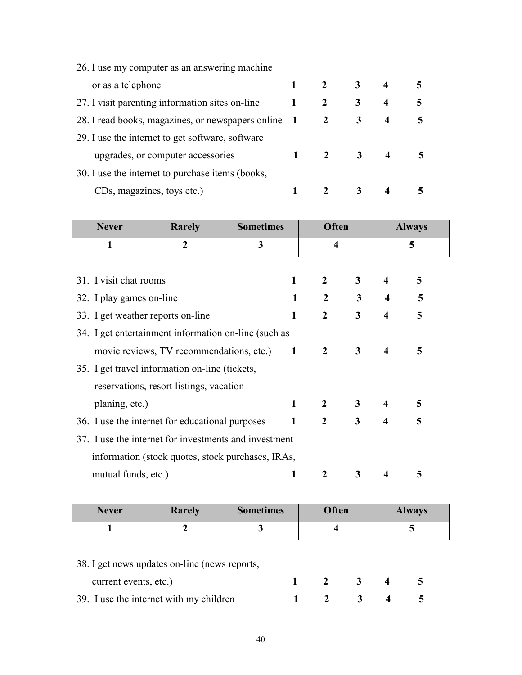| 26. I use my computer as an answering machine     |                |              |             |                         |   |
|---------------------------------------------------|----------------|--------------|-------------|-------------------------|---|
| or as a telephone                                 |                |              | $3^{\circ}$ | $\overline{\mathbf{4}}$ |   |
| 27. I visit parenting information sites on-line   | 1              |              | 3           | $\boldsymbol{4}$        | 5 |
| 28. I read books, magazines, or newspapers online | $\blacksquare$ | 2            | 3           | 4                       |   |
| 29. I use the internet to get software, software  |                |              |             |                         |   |
| upgrades, or computer accessories                 |                | $\mathbf{2}$ | 3           |                         |   |
| 30. I use the internet to purchase items (books,  |                |              |             |                         |   |
| CDs, magazines, toys etc.)                        |                |              |             |                         |   |

| <b>Never</b>                                          | <b>Rarely</b>                                     | <b>Sometimes</b> | <b>Often</b>            |                         |                         |   |  | <b>Always</b> |
|-------------------------------------------------------|---------------------------------------------------|------------------|-------------------------|-------------------------|-------------------------|---|--|---------------|
| 1                                                     | $\overline{2}$                                    | 3                | $\overline{\mathbf{4}}$ |                         |                         | 5 |  |               |
|                                                       |                                                   |                  |                         |                         |                         |   |  |               |
| 31. I visit chat rooms                                |                                                   | 1                | $\overline{2}$          | 3                       | 4                       | 5 |  |               |
| 32. I play games on-line                              |                                                   | 1                | $\overline{2}$          | 3 <sup>1</sup>          | $\overline{\mathbf{4}}$ | 5 |  |               |
| 33. I get weather reports on-line                     |                                                   | 1                | $\overline{2}$          | $\overline{\mathbf{3}}$ | 4                       | 5 |  |               |
| 34. I get entertainment information on-line (such as  |                                                   |                  |                         |                         |                         |   |  |               |
| movie reviews, TV recommendations, etc.)              |                                                   |                  | $\mathbf{2}$            | $\mathbf{3}$            | 4                       | 5 |  |               |
|                                                       | 35. I get travel information on-line (tickets,    |                  |                         |                         |                         |   |  |               |
|                                                       | reservations, resort listings, vacation           |                  |                         |                         |                         |   |  |               |
| planing, etc.)                                        |                                                   | 1                | $\overline{2}$          | 3                       | $\overline{4}$          | 5 |  |               |
|                                                       | 36. I use the internet for educational purposes   |                  |                         | $\overline{\mathbf{3}}$ | $\overline{\mathbf{4}}$ | 5 |  |               |
| 37. I use the internet for investments and investment |                                                   |                  |                         |                         |                         |   |  |               |
|                                                       | information (stock quotes, stock purchases, IRAs, |                  |                         |                         |                         |   |  |               |
| mutual funds, etc.)                                   |                                                   | 1                | 2                       | 3                       | 4                       | 5 |  |               |

| <b>Never</b> | <b>Rarely</b> | <b>Sometimes</b> | <b>Often</b> | <b>Always</b> |
|--------------|---------------|------------------|--------------|---------------|
|              |               |                  |              |               |

# 38. I get news updates on-line (news reports,

| current events, etc.)                   |  | $1 \t2 \t3 \t4 \t5$                 |  |
|-----------------------------------------|--|-------------------------------------|--|
| 39. I use the internet with my children |  | $1 \quad 2 \quad 3 \quad 4 \quad 5$ |  |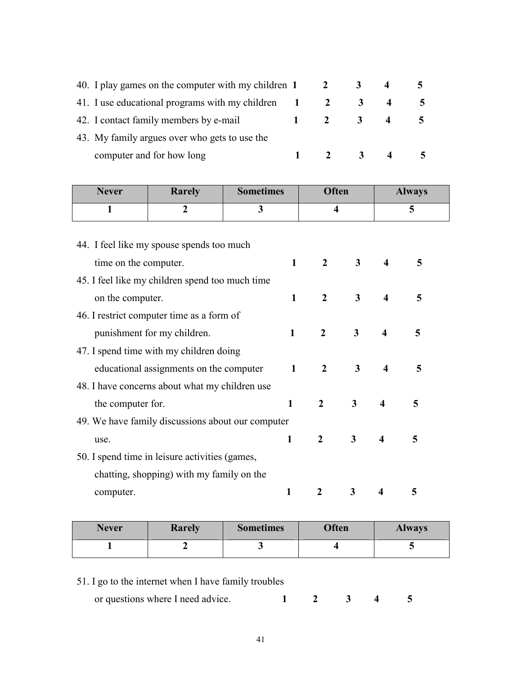| 40. I play games on the computer with my children 1 |              |              |                         |  |
|-----------------------------------------------------|--------------|--------------|-------------------------|--|
| 41. I use educational programs with my children 1   |              |              |                         |  |
| 42. I contact family members by e-mail              | $\mathbf{1}$ | <sup>2</sup> | 3.                      |  |
| 43. My family argues over who gets to use the       |              |              |                         |  |
| computer and for how long                           |              |              | $\overline{\mathbf{3}}$ |  |

| <b>Never</b>                                   | <b>Rarely</b>                                     | <b>Sometimes</b> | <b>Often</b>            |                         |                         | <b>Always</b> |  |
|------------------------------------------------|---------------------------------------------------|------------------|-------------------------|-------------------------|-------------------------|---------------|--|
| 1                                              | $\boldsymbol{2}$                                  | 3                | $\overline{\mathbf{4}}$ |                         |                         | 5             |  |
|                                                |                                                   |                  |                         |                         |                         |               |  |
|                                                | 44. I feel like my spouse spends too much         |                  |                         |                         |                         |               |  |
| time on the computer.                          |                                                   | $\mathbf{1}$     | $\overline{2}$          | 3                       | 4                       | 5             |  |
|                                                | 45. I feel like my children spend too much time   |                  |                         |                         |                         |               |  |
| on the computer.                               |                                                   | $\mathbf{1}$     | $\overline{2}$          | $\overline{3}$          | $\boldsymbol{4}$        | 5             |  |
| 46. I restrict computer time as a form of      |                                                   |                  |                         |                         |                         |               |  |
| punishment for my children.                    |                                                   |                  | $\overline{2}$          | 3                       | $\boldsymbol{4}$        | 5             |  |
| 47. I spend time with my children doing        |                                                   |                  |                         |                         |                         |               |  |
|                                                | educational assignments on the computer           | $\mathbf{1}$     | $\overline{2}$          | $\overline{\mathbf{3}}$ | $\boldsymbol{4}$        | 5             |  |
|                                                | 48. I have concerns about what my children use    |                  |                         |                         |                         |               |  |
| the computer for.                              |                                                   | $\mathbf{1}$     | $\overline{2}$          | 3                       | $\boldsymbol{4}$        | 5             |  |
|                                                | 49. We have family discussions about our computer |                  |                         |                         |                         |               |  |
| use.                                           |                                                   | $\mathbf{1}$     | $\overline{2}$          | 3                       | $\overline{\mathbf{4}}$ | 5             |  |
| 50. I spend time in leisure activities (games, |                                                   |                  |                         |                         |                         |               |  |
|                                                | chatting, shopping) with my family on the         |                  |                         |                         |                         |               |  |
| computer.                                      |                                                   | 1                | $\overline{2}$          | 3                       | 4                       | 5             |  |

| <b>Never</b> | <b>Rarely</b> | <b>Sometimes</b> | <b>Often</b> | <b>Always</b> |
|--------------|---------------|------------------|--------------|---------------|
|              |               |                  |              |               |

| 51. I go to the internet when I have family troubles |  |  |  |  |  |  |
|------------------------------------------------------|--|--|--|--|--|--|
|                                                      |  |  |  |  |  |  |

| or questions where I need advice. |  |  |  |  |  |
|-----------------------------------|--|--|--|--|--|
|-----------------------------------|--|--|--|--|--|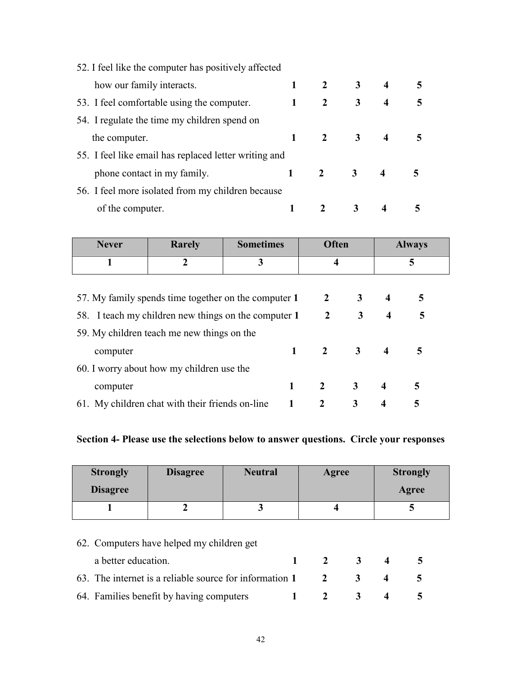| 52. I feel like the computer has positively affected  |                |                         |                         |   |
|-------------------------------------------------------|----------------|-------------------------|-------------------------|---|
| how our family interacts.                             | $\mathbf{2}$   | $\overline{\mathbf{3}}$ | $\overline{4}$          | 5 |
| 53. I feel comfortable using the computer.            | $\overline{2}$ | 3 <sup>1</sup>          | $\overline{\mathbf{4}}$ | 5 |
| 54. I regulate the time my children spend on          |                |                         |                         |   |
| the computer.                                         |                | $\overline{\mathbf{3}}$ |                         |   |
| 55. I feel like email has replaced letter writing and |                |                         |                         |   |
| phone contact in my family.                           |                | $\overline{\mathbf{3}}$ | 4                       |   |
| 56. I feel more isolated from my children because     |                |                         |                         |   |
| of the computer.                                      |                | 3                       |                         |   |

| <b>Never</b>                                         | Rarely                                          | <b>Sometimes</b>              |                | <b>Often</b>          |                         | <b>Always</b>  |
|------------------------------------------------------|-------------------------------------------------|-------------------------------|----------------|-----------------------|-------------------------|----------------|
|                                                      | 2                                               | 3                             |                | 4                     |                         | 5              |
|                                                      |                                                 |                               |                |                       |                         |                |
| 57. My family spends time together on the computer 1 |                                                 | $\overline{2}$<br>$3^{\circ}$ | $\overline{4}$ | 5                     |                         |                |
| 58. I teach my children new things on the computer 1 |                                                 |                               |                | $3^{\circ}$           | $\overline{\mathbf{4}}$ | 5              |
|                                                      | 59. My children teach me new things on the      |                               |                |                       |                         |                |
| computer                                             |                                                 | $\mathbf{1}$                  |                | $2 \qquad 3 \qquad 4$ |                         | $\overline{5}$ |
|                                                      | 60. I worry about how my children use the       |                               |                |                       |                         |                |
| computer                                             |                                                 |                               | $\overline{2}$ | 3 <sup>7</sup>        | $\boldsymbol{4}$        | 5              |
|                                                      | 61. My children chat with their friends on-line |                               | $\mathbf{2}$   | 3                     | $\overline{\bf{4}}$     | 5              |

# **Section 4- Please use the selections below to answer questions. Circle your responses**

| <b>Strongly</b> | <b>Disagree</b> | <b>Neutral</b> | Agree | <b>Strongly</b> |
|-----------------|-----------------|----------------|-------|-----------------|
| <b>Disagree</b> |                 |                |       | Agree           |
|                 |                 |                |       |                 |

| 62. Computers have helped my children get                                |                             |  |            |
|--------------------------------------------------------------------------|-----------------------------|--|------------|
| a better education.                                                      | $1 \quad 2 \quad 3 \quad 4$ |  | $\sqrt{2}$ |
| 63. The internet is a reliable source for information $1 \t 2 \t 3 \t 4$ |                             |  |            |
| 64. Families benefit by having computers                                 | $1 \quad 2 \quad 3 \quad 4$ |  |            |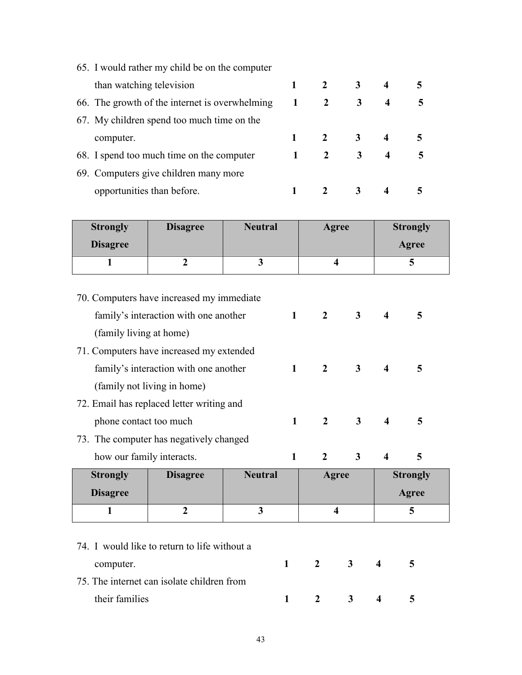| 65. I would rather my child be on the computer |    |              |              |                  |   |
|------------------------------------------------|----|--------------|--------------|------------------|---|
| than watching television                       |    | $2^{\circ}$  | 3            | 4                |   |
| 66. The growth of the internet is overwhelming | -1 | 2            | 3            | $\boldsymbol{4}$ | 5 |
| 67. My children spend too much time on the     |    |              |              |                  |   |
| computer.                                      |    |              | 2 $3$        | 4                |   |
| 68. I spend too much time on the computer      |    | $\mathbf{2}$ | $\mathbf{3}$ | $\boldsymbol{4}$ | 5 |
| 69. Computers give children many more          |    |              |              |                  |   |
| opportunities than before.                     |    |              |              |                  |   |

| <b>Strongly</b><br><b>Disagree</b> | <b>Disagree</b> | <b>Neutral</b> | Agree | <b>Strongly</b><br>Agree |
|------------------------------------|-----------------|----------------|-------|--------------------------|
|                                    |                 |                |       |                          |
|                                    |                 |                |       |                          |

|                                           | 70. Computers have increased my immediate    |                |              |                         |                |                         |                 |  |
|-------------------------------------------|----------------------------------------------|----------------|--------------|-------------------------|----------------|-------------------------|-----------------|--|
|                                           | family's interaction with one another        |                | $\mathbf{1}$ | $\overline{2}$          | 3 <sup>1</sup> | $\overline{\bf{4}}$     | 5               |  |
|                                           | (family living at home)                      |                |              |                         |                |                         |                 |  |
|                                           | 71. Computers have increased my extended     |                |              |                         |                |                         |                 |  |
| family's interaction with one another     |                                              |                | $\mathbf{1}$ | $\overline{2}$          | 3 <sup>1</sup> | $\overline{\mathbf{4}}$ | 5               |  |
|                                           | (family not living in home)                  |                |              |                         |                |                         |                 |  |
| 72. Email has replaced letter writing and |                                              |                |              |                         |                |                         |                 |  |
|                                           | phone contact too much                       |                |              | $\overline{2}$          | $\mathbf{3}$   | 4                       | 5               |  |
|                                           | 73. The computer has negatively changed      |                |              |                         |                |                         |                 |  |
| how our family interacts.                 |                                              |                | $\mathbf{1}$ | $\overline{2}$          | 3              | $\overline{\mathbf{4}}$ | 5               |  |
| <b>Strongly</b>                           | <b>Disagree</b>                              | <b>Neutral</b> |              | Agree                   |                |                         | <b>Strongly</b> |  |
| <b>Disagree</b>                           |                                              |                |              |                         |                |                         | Agree           |  |
| 1                                         | $\overline{2}$                               | 3              |              | $\overline{\mathbf{4}}$ |                |                         | 5               |  |
|                                           |                                              |                |              |                         |                |                         |                 |  |
|                                           | 74. I would like to return to life without a |                |              |                         |                |                         |                 |  |
| computer.                                 |                                              |                | 1            | $\overline{2}$          | $\mathbf{3}$   | $\boldsymbol{4}$        | 5               |  |

75. The internet can isolate children from their families **1 2 3 4 5**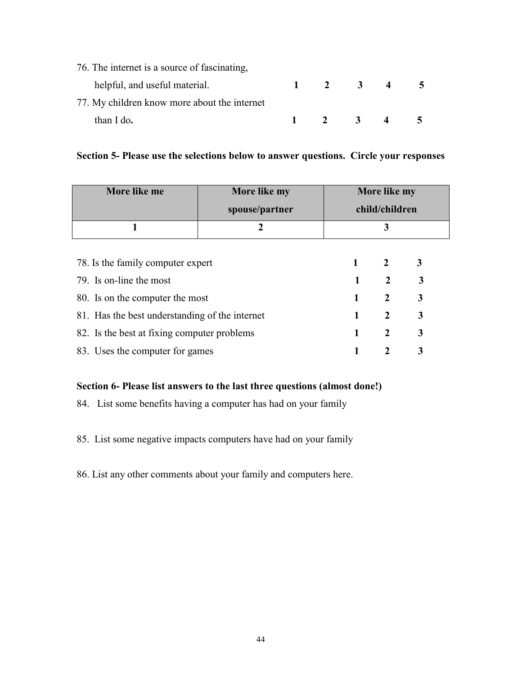| 76. The internet is a source of fascinating, |                     |                |                         |  |
|----------------------------------------------|---------------------|----------------|-------------------------|--|
| helpful, and useful material.                | $1 \t 2$            | $\overline{3}$ | $\overline{\mathbf{4}}$ |  |
| 77. My children know more about the internet |                     |                |                         |  |
| than I do.                                   | $1 \quad 2 \quad 3$ |                |                         |  |

# **Section 5- Please use the selections below to answer questions. Circle your responses**

| More like me                                   | More like my   | More like my   |                |   |  |  |
|------------------------------------------------|----------------|----------------|----------------|---|--|--|
|                                                | spouse/partner | child/children |                |   |  |  |
|                                                | 2              | 3              |                |   |  |  |
|                                                |                |                |                |   |  |  |
| 78. Is the family computer expert              | $\mathbf 1$    | $\overline{2}$ | 3              |   |  |  |
| 79. Is on-line the most                        |                | 1              | $\overline{2}$ | 3 |  |  |
| 80. Is on the computer the most                |                | 1              | $\overline{2}$ | 3 |  |  |
| 81. Has the best understanding of the internet |                |                | $\mathbf{2}$   | 3 |  |  |
| 82. Is the best at fixing computer problems    | 1              | $\mathbf{2}$   | 3              |   |  |  |
| 83. Uses the computer for games                |                | 2              | 3              |   |  |  |

# **Section 6- Please list answers to the last three questions (almost done!)**

84. List some benefits having a computer has had on your family

85. List some negative impacts computers have had on your family

86. List any other comments about your family and computers here.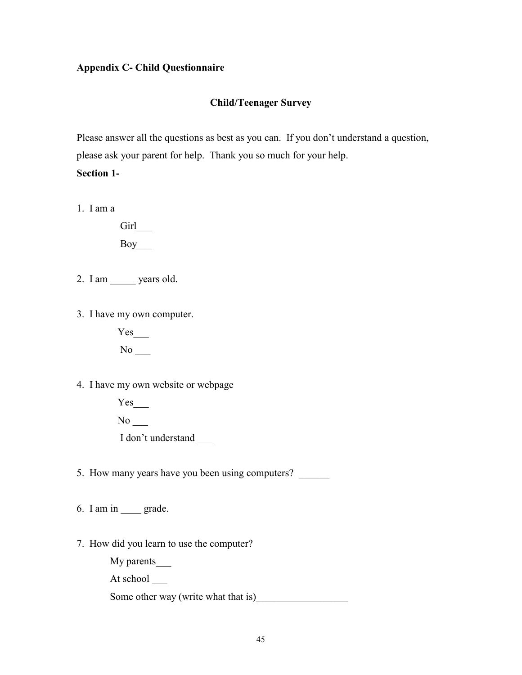# **Appendix C- Child Questionnaire**

## **Child/Teenager Survey**

Please answer all the questions as best as you can. If you don't understand a question, please ask your parent for help. Thank you so much for your help.

**Section 1-** 

1. I am a

Girl\_ Boy\_\_\_

2. I am \_\_\_\_\_ years old.

3. I have my own computer.

Yes No \_\_\_

4. I have my own website or webpage

 $Yes$ <sub>\_\_\_\_</sub>  $No$ <sub>\_\_\_</sub> I don't understand \_\_\_

5. How many years have you been using computers?

6. I am in \_\_\_\_ grade.

7. How did you learn to use the computer?

My parents\_\_\_\_\_\_\_

At school \_\_\_\_\_

Some other way (write what that is)\_\_\_\_\_\_\_\_\_\_\_\_\_\_\_\_\_\_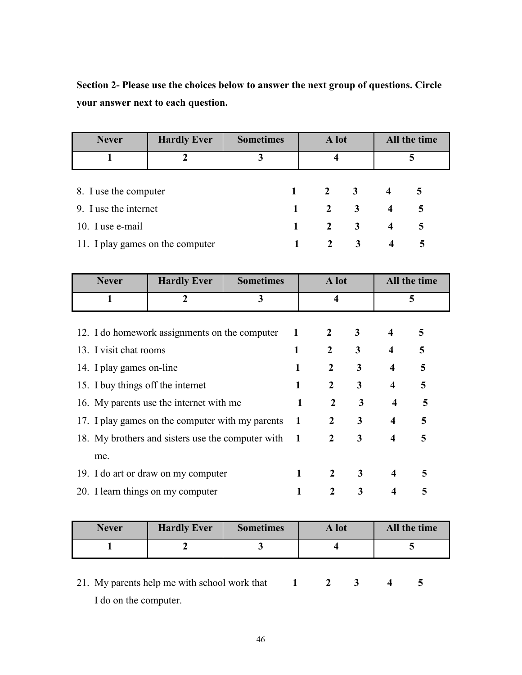**Section 2- Please use the choices below to answer the next group of questions. Circle your answer next to each question.** 

| <b>Never</b>                     | <b>Hardly Ever</b> | <b>Sometimes</b> | A lot        |                             |                         | All the time |
|----------------------------------|--------------------|------------------|--------------|-----------------------------|-------------------------|--------------|
|                                  |                    | 3                | 4            |                             |                         |              |
|                                  |                    |                  |              |                             |                         |              |
| 8. I use the computer            |                    |                  |              | $1 \quad 2 \quad 3 \quad 4$ |                         | 5            |
| 9. I use the internet            |                    | $\mathbf{1}$     |              | $2 \quad 3$                 | $\overline{4}$          | 5            |
| 10. I use e-mail                 |                    | $\mathbf{1}$     |              | $2 \quad 3$                 | $\overline{\mathbf{4}}$ | 5            |
| 11. I play games on the computer |                    |                  | $\mathbf{2}$ | 3                           | $\overline{4}$          | 5            |

| <b>Never</b>                                      | <b>Hardly Ever</b>                            | <b>Sometimes</b> |                         | A lot          |              | All the time            |   |
|---------------------------------------------------|-----------------------------------------------|------------------|-------------------------|----------------|--------------|-------------------------|---|
| 1                                                 | $\overline{2}$                                | 3                | $\overline{\mathbf{4}}$ |                | 5            |                         |   |
|                                                   |                                               |                  |                         |                |              |                         |   |
|                                                   | 12. I do homework assignments on the computer |                  | $\mathbf{1}$            | $\mathbf{2}$   | 3            | $\overline{\mathbf{4}}$ | 5 |
| 13. I visit chat rooms                            |                                               |                  | 1                       | $\overline{2}$ | 3            | $\overline{\mathbf{4}}$ | 5 |
| 14. I play games on-line                          |                                               |                  | 1                       | $\mathbf{2}$   | 3            | $\overline{\mathbf{4}}$ | 5 |
| 15. I buy things off the internet                 |                                               |                  | 1                       | $\overline{2}$ | 3            | $\overline{\mathbf{4}}$ | 5 |
| 16. My parents use the internet with me           |                                               |                  | $\mathbf{1}$            | $\mathbf{2}$   | $\mathbf{3}$ | $\overline{\mathbf{4}}$ | 5 |
| 17. I play games on the computer with my parents  |                                               |                  | $\mathbf{1}$            | $\mathbf{2}$   | 3            | $\overline{\mathbf{4}}$ | 5 |
| 18. My brothers and sisters use the computer with |                                               |                  | $\blacksquare$          | $\mathbf{2}$   | 3            | $\overline{\mathbf{4}}$ | 5 |
| me.                                               |                                               |                  |                         |                |              |                         |   |
| 19. I do art or draw on my computer               |                                               |                  | 1                       | $\mathbf{2}$   | 3            | $\overline{\mathbf{4}}$ | 5 |
| 20. I learn things on my computer                 |                                               |                  |                         | 2              | 3            | 4                       | 5 |

| Never | <b>Hardly Ever</b> | <b>Sometimes</b> | A lot | All the time |
|-------|--------------------|------------------|-------|--------------|
|       |                    |                  |       |              |

21. My parents help me with school work that **1** 2 3 4 5 I do on the computer.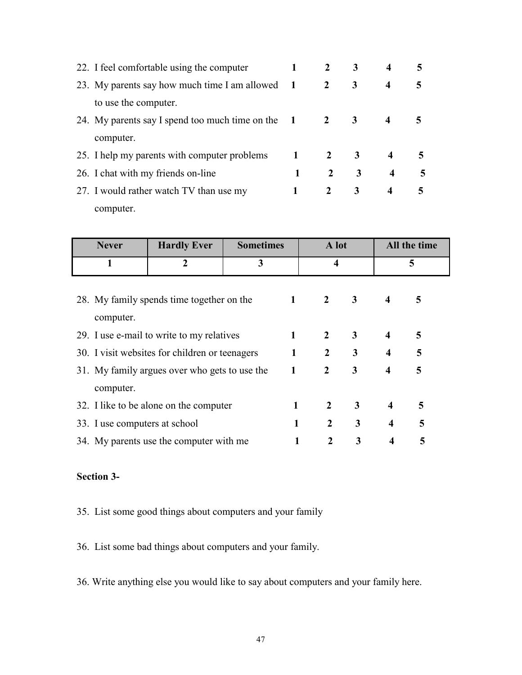| 22. I feel comfortable using the computer         |              | 2            |   |                         |   |
|---------------------------------------------------|--------------|--------------|---|-------------------------|---|
| 23. My parents say how much time I am allowed 1   |              | $\mathbf{2}$ | 3 | $\boldsymbol{4}$        | 5 |
| to use the computer.                              |              |              |   |                         |   |
| 24. My parents say I spend too much time on the 1 |              | $\mathbf{2}$ | 3 |                         |   |
| computer.                                         |              |              |   |                         |   |
| 25. I help my parents with computer problems      | $\mathbf{1}$ | $\mathbf{2}$ | 3 | 4                       | 5 |
| 26. I chat with my friends on-line                | 1            | $\mathbf{2}$ | 3 | $\overline{\mathbf{4}}$ |   |
| 27. I would rather watch TV than use my           |              | $2^{\circ}$  | 3 | 4                       | 5 |
| computer.                                         |              |              |   |                         |   |

| <b>Never</b>                                           | <b>Hardly Ever</b>            | <b>Sometimes</b> |              | A lot            |              | All the time            |   |
|--------------------------------------------------------|-------------------------------|------------------|--------------|------------------|--------------|-------------------------|---|
| 1                                                      | $\overline{2}$                | 3                |              | 4                |              | 5                       |   |
| 28. My family spends time together on the<br>computer. |                               |                  | $\mathbf{1}$ | $\overline{2}$   | $\mathbf{3}$ | $\boldsymbol{4}$        | 5 |
| 29. I use e-mail to write to my relatives              |                               |                  | 1            | 2                | 3            | $\boldsymbol{4}$        | 5 |
| 30. I visit websites for children or teenagers         |                               |                  | $\mathbf{1}$ | $\overline{2}$   | 3            | $\overline{\mathbf{4}}$ | 5 |
| 31. My family argues over who gets to use the          |                               | $\mathbf{1}$     |              | $\overline{2}$   | 3            | $\overline{\mathbf{4}}$ | 5 |
| computer.                                              |                               |                  |              |                  |              |                         |   |
| 32. I like to be alone on the computer                 |                               |                  | 1            | $\overline{2}$   | 3            | $\overline{\mathbf{4}}$ | 5 |
|                                                        | 33. I use computers at school |                  | 1            | $\overline{2}$   | 3            | $\overline{\mathbf{4}}$ | 5 |
| 34. My parents use the computer with me                |                               |                  |              | $\boldsymbol{2}$ | 3            | 4                       | 5 |

# **Section 3-**

- 35. List some good things about computers and your family
- 36. List some bad things about computers and your family.
- 36. Write anything else you would like to say about computers and your family here.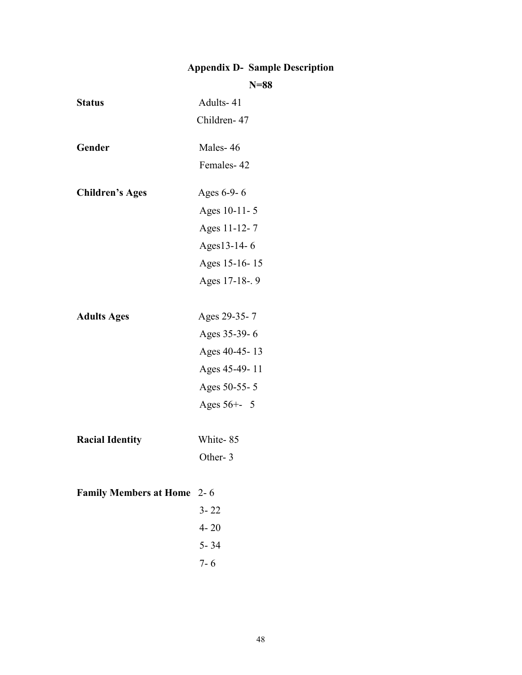# **Appendix D- Sample Description**

# **N=88**

| <b>Status</b>                     | Adults-41      |
|-----------------------------------|----------------|
|                                   | Children-47    |
| Gender                            | Males-46       |
|                                   | Females-42     |
| <b>Children's Ages</b>            | Ages 6-9-6     |
|                                   | Ages 10-11-5   |
|                                   | Ages 11-12-7   |
|                                   | Ages13-14-6    |
|                                   | Ages 15-16-15  |
|                                   | Ages 17-18-. 9 |
| <b>Adults Ages</b>                | Ages 29-35-7   |
|                                   | Ages 35-39-6   |
|                                   | Ages 40-45-13  |
|                                   | Ages 45-49-11  |
|                                   | Ages 50-55-5   |
|                                   | Ages 56+- 5    |
|                                   |                |
| <b>Racial Identity</b>            | White-85       |
|                                   | Other-3        |
|                                   |                |
| <b>Family Members at Home</b> 2-6 |                |
|                                   | $3 - 22$       |
|                                   | $4 - 20$       |
|                                   | $5 - 34$       |
|                                   | $7 - 6$        |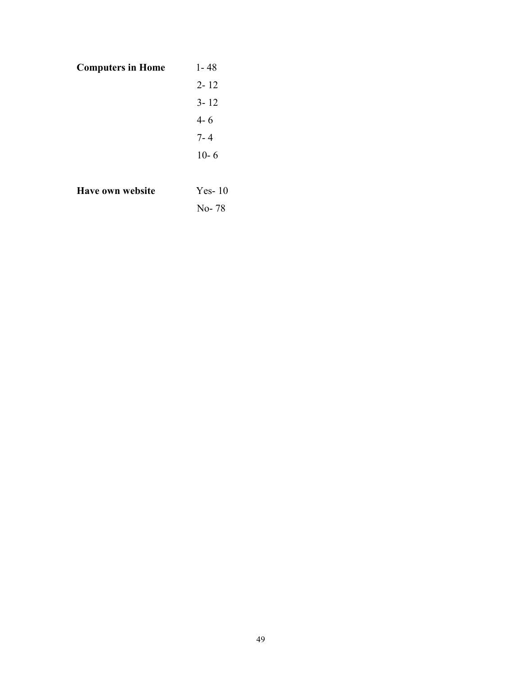| <b>Computers in Home</b> | 1-48     |
|--------------------------|----------|
|                          | $2 - 12$ |
|                          | $3 - 12$ |
|                          | $4 - 6$  |
|                          | $7 - 4$  |
|                          | $10 - 6$ |
|                          |          |
| Have own website         | $Yes-10$ |

No- 78